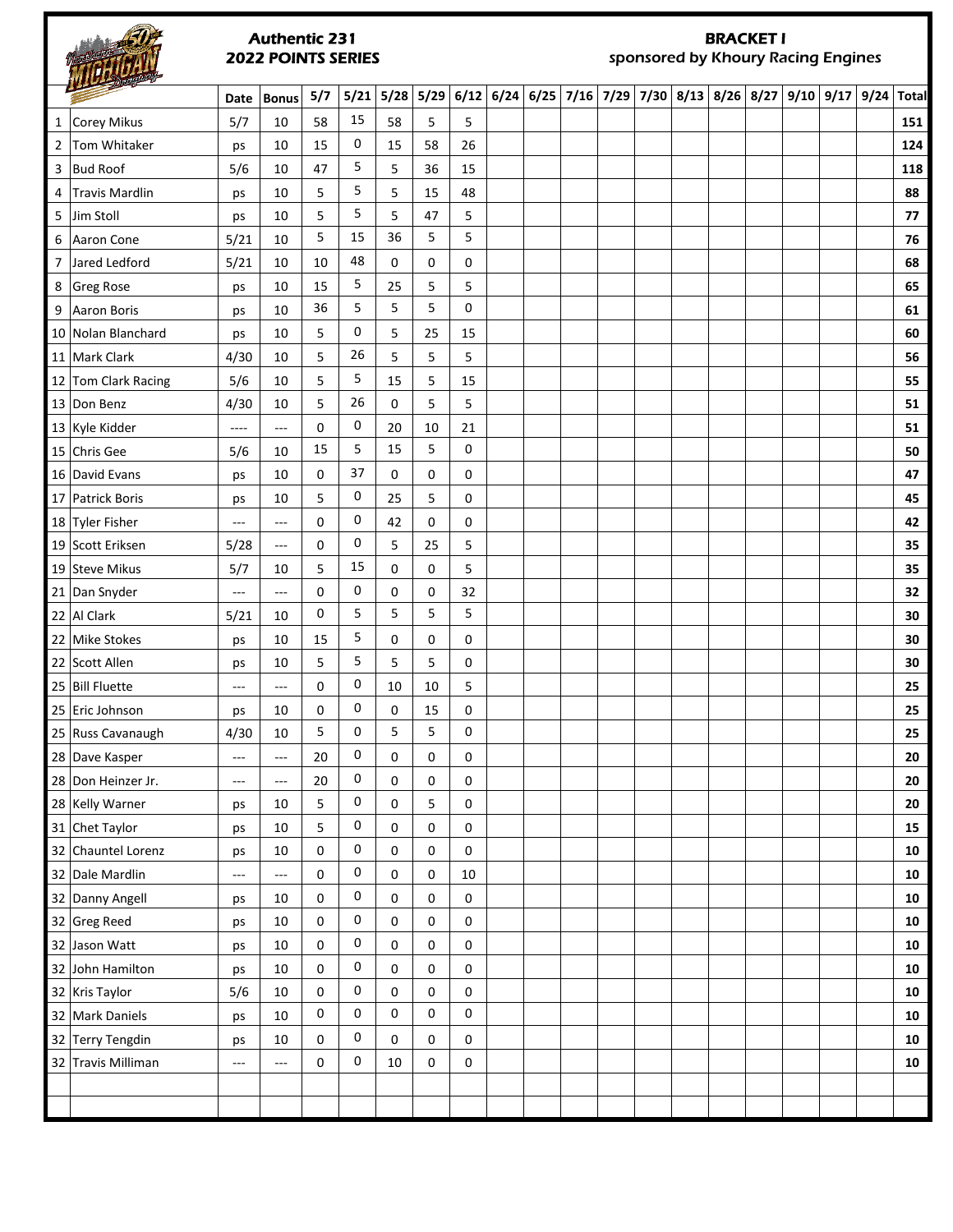#### Authentic 231 2022 POINTS SERIES

**PITH!** 

# BRACKET I

sponsored by Khoury Racing Engines

|                | WILL Draguer        |                                   |                          |     |    |             |      |           |                                      |  |  |  |             |      |                 |            |
|----------------|---------------------|-----------------------------------|--------------------------|-----|----|-------------|------|-----------|--------------------------------------|--|--|--|-------------|------|-----------------|------------|
|                |                     | Date                              | <b>Bonus</b>             | 5/7 |    | $5/21$ 5/28 | 5/29 |           | $6/12$ 6/24 6/25 7/16 7/29 7/30 8/13 |  |  |  | $8/26$ 8/27 | 9/10 | 9/17 9/24 Total |            |
|                | 1 Corey Mikus       | 5/7                               | 10                       | 58  | 15 | 58          | 5    | 5         |                                      |  |  |  |             |      |                 | 151        |
| $\overline{2}$ | Tom Whitaker        | ps                                | 10                       | 15  | 0  | 15          | 58   | 26        |                                      |  |  |  |             |      |                 | 124        |
| 3              | <b>Bud Roof</b>     | 5/6                               | 10                       | 47  | 5  | 5           | 36   | 15        |                                      |  |  |  |             |      |                 | 118        |
| 4              | Travis Mardlin      | ps                                | 10                       | 5   | 5  | 5           | 15   | 48        |                                      |  |  |  |             |      |                 | 88         |
| 5              | Jim Stoll           | ps                                | 10                       | 5   | 5  | 5           | 47   | 5         |                                      |  |  |  |             |      |                 | 77         |
| 6              | Aaron Cone          | 5/21                              | 10                       | 5   | 15 | 36          | 5    | 5         |                                      |  |  |  |             |      |                 | 76         |
|                | 7 Jared Ledford     | 5/21                              | 10                       | 10  | 48 | 0           | 0    | 0         |                                      |  |  |  |             |      |                 | 68         |
|                | 8 Greg Rose         | ps                                | 10                       | 15  | 5  | 25          | 5    | 5         |                                      |  |  |  |             |      |                 | 65         |
|                | 9 Aaron Boris       | ps                                | 10                       | 36  | 5  | 5           | 5    | 0         |                                      |  |  |  |             |      |                 | 61         |
|                | 10 Nolan Blanchard  | ps                                | 10                       | 5   | 0  | 5           | 25   | 15        |                                      |  |  |  |             |      |                 | 60         |
|                | 11 Mark Clark       | 4/30                              | 10                       | 5   | 26 | 5           | 5    | 5         |                                      |  |  |  |             |      |                 | 56         |
|                | 12 Tom Clark Racing | 5/6                               | 10                       | 5   | 5  | 15          | 5    | 15        |                                      |  |  |  |             |      |                 | 55         |
|                | 13 Don Benz         | 4/30                              | 10                       | 5   | 26 | 0           | 5    | 5         |                                      |  |  |  |             |      |                 | 51         |
|                | 13 Kyle Kidder      | ----                              | ---                      | 0   | 0  | 20          | 10   | 21        |                                      |  |  |  |             |      |                 | 51         |
|                | 15 Chris Gee        | 5/6                               | 10                       | 15  | 5  | 15          | 5    | 0         |                                      |  |  |  |             |      |                 | 50         |
|                | 16 David Evans      | ps                                | 10                       | 0   | 37 | 0           | 0    | 0         |                                      |  |  |  |             |      |                 | 47         |
|                | 17 Patrick Boris    | ps                                | 10                       | 5   | 0  | 25          | 5    | 0         |                                      |  |  |  |             |      |                 | 45         |
|                | 18 Tyler Fisher     | $\sim$ $\sim$                     | ---                      | 0   | 0  | 42          | 0    | 0         |                                      |  |  |  |             |      |                 | 42         |
|                | 19 Scott Eriksen    | 5/28                              | ---                      | 0   | 0  | 5           | 25   | 5         |                                      |  |  |  |             |      |                 | 35         |
|                | 19 Steve Mikus      | 5/7                               | 10                       | 5   | 15 | 0           | 0    | 5         |                                      |  |  |  |             |      |                 | 35         |
|                | 21 Dan Snyder       | $\cdots$                          | ---                      | 0   | 0  | 0           | 0    | 32        |                                      |  |  |  |             |      |                 | 32         |
|                | 22 Al Clark         | 5/21                              | 10                       | 0   | 5  | 5           | 5    | 5         |                                      |  |  |  |             |      |                 | 30         |
|                | 22 Mike Stokes      | ps                                | 10                       | 15  | 5  | 0           | 0    | 0         |                                      |  |  |  |             |      |                 | 30         |
|                | 22 Scott Allen      | ps                                | 10                       | 5   | 5  | 5           | 5    | 0         |                                      |  |  |  |             |      |                 | 30         |
|                | 25 Bill Fluette     | $\cdots$                          | ---                      | 0   | 0  | 10          | 10   | 5         |                                      |  |  |  |             |      |                 | 25         |
|                | 25 Eric Johnson     | ps                                | 10                       | 0   | 0  | 0           | 15   | 0         |                                      |  |  |  |             |      |                 | 25         |
|                | 25 Russ Cavanaugh   | 4/30                              | 10                       | 5   | 0  | 5           | 5    | 0         |                                      |  |  |  |             |      |                 | 25         |
|                | 28 Dave Kasper      | $\overline{\phantom{a}}$          | ---                      | 20  | 0  | 0           | 0    | 0         |                                      |  |  |  |             |      |                 | 20         |
|                | 28 Don Heinzer Jr.  | $\hspace{0.05cm} \dashrightarrow$ | $\qquad \qquad - -$      | 20  | 0  | 0           | 0    | $\pmb{0}$ |                                      |  |  |  |             |      |                 | 20         |
|                | 28 Kelly Warner     | ps                                | 10                       | 5   | 0  | 0           | 5    | 0         |                                      |  |  |  |             |      |                 | 20         |
|                | 31 Chet Taylor      | ps                                | 10                       | 5   | 0  | 0           | 0    | 0         |                                      |  |  |  |             |      |                 | 15         |
|                | 32 Chauntel Lorenz  | ps                                | 10                       | 0   | 0  | 0           | 0    | 0         |                                      |  |  |  |             |      |                 | 10         |
|                | 32 Dale Mardlin     | $\cdots$                          | $\overline{\phantom{a}}$ | 0   | 0  | 0           | 0    | 10        |                                      |  |  |  |             |      |                 | 10         |
|                | 32 Danny Angell     | ps                                | 10                       | 0   | 0  | 0           | 0    | 0         |                                      |  |  |  |             |      |                 | 10         |
|                | 32 Greg Reed        | ps                                | 10                       | 0   | 0  | 0           | 0    | 0         |                                      |  |  |  |             |      |                 | ${\bf 10}$ |
|                | 32 Jason Watt       | ps                                | 10                       | 0   | 0  | 0           | 0    | 0         |                                      |  |  |  |             |      |                 | 10         |
|                | 32 John Hamilton    | ps                                | 10                       | 0   | 0  | 0           | 0    | 0         |                                      |  |  |  |             |      |                 | 10         |
|                | 32 Kris Taylor      | 5/6                               | 10                       | 0   | 0  | 0           | 0    | 0         |                                      |  |  |  |             |      |                 | 10         |
|                | 32 Mark Daniels     | ps                                | 10                       | 0   | 0  | 0           | 0    | 0         |                                      |  |  |  |             |      |                 | 10         |
|                | 32 Terry Tengdin    | ps                                | 10                       | 0   | 0  | 0           | 0    | 0         |                                      |  |  |  |             |      |                 | 10         |
|                | 32 Travis Milliman  | ---                               | ---                      | 0   | 0  | 10          | 0    | 0         |                                      |  |  |  |             |      |                 | 10         |
|                |                     |                                   |                          |     |    |             |      |           |                                      |  |  |  |             |      |                 |            |
|                |                     |                                   |                          |     |    |             |      |           |                                      |  |  |  |             |      |                 |            |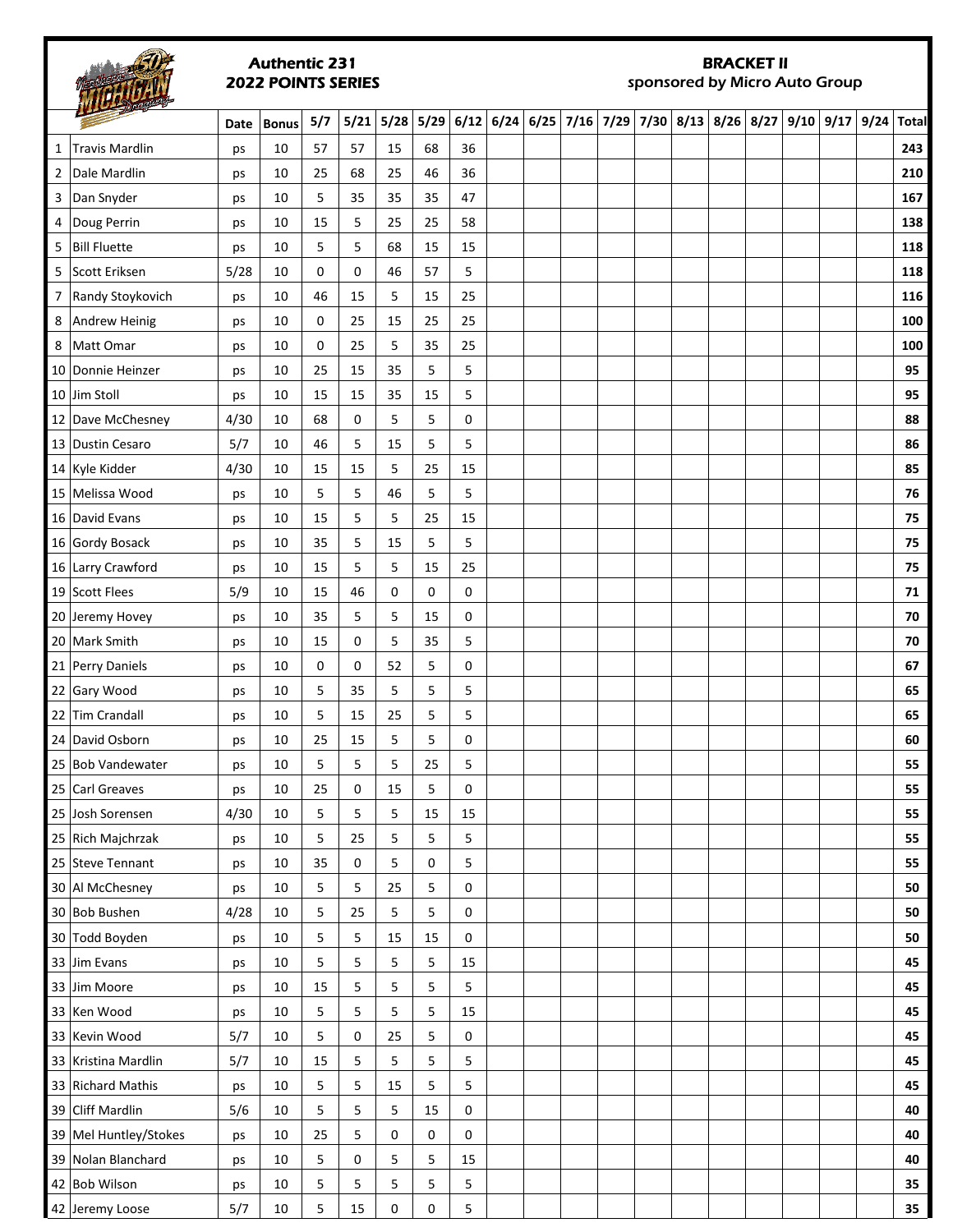### Authentic 231 2022 POINTS SERIES

# BRACKET II

sponsored by Micro Auto Group

|   | <b>The School</b>     | Date | <b>Bonus</b> | 5/7 | 5/21 | 5/28 | 5/29 | 6/12 | 6/24 | $6/25$ 7/16 7/29 | 7/30 | $8/13$ $8/26$ $8/27$ | 9/10 | $9/17$ 9/24 | <b>Total</b> |
|---|-----------------------|------|--------------|-----|------|------|------|------|------|------------------|------|----------------------|------|-------------|--------------|
| 1 | Travis Mardlin        | ps   | 10           | 57  | 57   | 15   | 68   | 36   |      |                  |      |                      |      |             | 243          |
|   | 2 Dale Mardlin        | ps   | 10           | 25  | 68   | 25   | 46   | 36   |      |                  |      |                      |      |             | 210          |
|   | 3 Dan Snyder          | ps   | 10           | 5   | 35   | 35   | 35   | 47   |      |                  |      |                      |      |             | 167          |
| 4 | Doug Perrin           | ps   | 10           | 15  | 5    | 25   | 25   | 58   |      |                  |      |                      |      |             | 138          |
|   | 5 Bill Fluette        | ps   | 10           | 5   | 5    | 68   | 15   | 15   |      |                  |      |                      |      |             | 118          |
|   | 5 Scott Eriksen       | 5/28 | 10           | 0   | 0    | 46   | 57   | 5    |      |                  |      |                      |      |             | 118          |
|   | 7 Randy Stoykovich    | ps   | 10           | 46  | 15   | 5    | 15   | 25   |      |                  |      |                      |      |             | 116          |
|   | 8 Andrew Heinig       | ps   | 10           | 0   | 25   | 15   | 25   | 25   |      |                  |      |                      |      |             | 100          |
|   | 8 Matt Omar           | ps   | 10           | 0   | 25   | 5    | 35   | 25   |      |                  |      |                      |      |             | 100          |
|   | 10 Donnie Heinzer     | ps   | 10           | 25  | 15   | 35   | 5    | 5    |      |                  |      |                      |      |             | 95           |
|   | 10 Jim Stoll          | ps   | 10           | 15  | 15   | 35   | 15   | 5    |      |                  |      |                      |      |             | 95           |
|   | 12 Dave McChesney     | 4/30 | 10           | 68  | 0    | 5    | 5    | 0    |      |                  |      |                      |      |             | 88           |
|   | 13 Dustin Cesaro      | 5/7  | 10           | 46  | 5    | 15   | 5    | 5    |      |                  |      |                      |      |             | 86           |
|   | 14 Kyle Kidder        | 4/30 | 10           | 15  | 15   | 5    | 25   | 15   |      |                  |      |                      |      |             | 85           |
|   | 15 Melissa Wood       | ps   | 10           | 5   | 5    | 46   | 5    | 5    |      |                  |      |                      |      |             | 76           |
|   | 16 David Evans        | ps   | 10           | 15  | 5    | 5    | 25   | 15   |      |                  |      |                      |      |             | 75           |
|   | 16 Gordy Bosack       | ps   | 10           | 35  | 5    | 15   | 5    | 5    |      |                  |      |                      |      |             | 75           |
|   | 16 Larry Crawford     | ps   | 10           | 15  | 5    | 5    | 15   | 25   |      |                  |      |                      |      |             | 75           |
|   | 19 Scott Flees        | 5/9  | 10           | 15  | 46   | 0    | 0    | 0    |      |                  |      |                      |      |             | ${\bf 71}$   |
|   | 20 Jeremy Hovey       | ps   | 10           | 35  | 5    | 5    | 15   | 0    |      |                  |      |                      |      |             | 70           |
|   | 20 Mark Smith         | ps   | 10           | 15  | 0    | 5    | 35   | 5    |      |                  |      |                      |      |             | 70           |
|   | 21 Perry Daniels      | ps   | 10           | 0   | 0    | 52   | 5    | 0    |      |                  |      |                      |      |             | 67           |
|   | 22 Gary Wood          | ps   | 10           | 5   | 35   | 5    | 5    | 5    |      |                  |      |                      |      |             | 65           |
|   | 22 Tim Crandall       | ps   | 10           | 5   | 15   | 25   | 5    | 5    |      |                  |      |                      |      |             | 65           |
|   | 24 David Osborn       | ps   | 10           | 25  | 15   | 5    | 5    | 0    |      |                  |      |                      |      |             | 60           |
|   | 25 Bob Vandewater     | ps   | 10           | 5   | 5    | 5    | 25   | 5    |      |                  |      |                      |      |             | 55           |
|   | 25 Carl Greaves       | ps   | 10           | 25  | 0    | 15   | 5    | 0    |      |                  |      |                      |      |             | 55           |
|   | 25 Josh Sorensen      | 4/30 | 10           | 5   | 5    | 5    | 15   | 15   |      |                  |      |                      |      |             | 55           |
|   | 25 Rich Majchrzak     | ps   | 10           | 5   | 25   | 5    | 5    | 5    |      |                  |      |                      |      |             | 55           |
|   | 25 Steve Tennant      | ps   | 10           | 35  | 0    | 5    | 0    | 5    |      |                  |      |                      |      |             | 55           |
|   | 30 Al McChesney       | ps   | 10           | 5   | 5    | 25   | 5    | 0    |      |                  |      |                      |      |             | 50           |
|   | 30 Bob Bushen         | 4/28 | 10           | 5   | 25   | 5    | 5    | 0    |      |                  |      |                      |      |             | 50           |
|   | 30 Todd Boyden        | ps   | 10           | 5   | 5    | 15   | 15   | 0    |      |                  |      |                      |      |             | 50           |
|   | 33 Jim Evans          | ps   | 10           | 5   | 5    | 5    | 5    | 15   |      |                  |      |                      |      |             | 45           |
|   | 33 Jim Moore          | ps   | 10           | 15  | 5    | 5    | 5    | 5    |      |                  |      |                      |      |             | 45           |
|   | 33 Ken Wood           | ps   | 10           | 5   | 5    | 5    | 5    | 15   |      |                  |      |                      |      |             | 45           |
|   | 33 Kevin Wood         | 5/7  | 10           | 5   | 0    | 25   | 5    | 0    |      |                  |      |                      |      |             | 45           |
|   | 33 Kristina Mardlin   | 5/7  | 10           | 15  | 5    | 5    | 5    | 5    |      |                  |      |                      |      |             | 45           |
|   | 33 Richard Mathis     | ps   | 10           | 5   | 5    | 15   | 5    | 5    |      |                  |      |                      |      |             | 45           |
|   | 39 Cliff Mardlin      | 5/6  | 10           | 5   | 5    | 5    | 15   | 0    |      |                  |      |                      |      |             | 40           |
|   | 39 Mel Huntley/Stokes | ps   | 10           | 25  | 5    | 0    | 0    | 0    |      |                  |      |                      |      |             | 40           |
|   | 39 Nolan Blanchard    | ps   | 10           | 5   | 0    | 5    | 5    | 15   |      |                  |      |                      |      |             | 40           |
|   | 42 Bob Wilson         | ps   | 10           | 5   | 5    | 5    | 5    | 5    |      |                  |      |                      |      |             | 35           |
|   | 42 Jeremy Loose       | 5/7  | $10\,$       | 5   | 15   | 0    | 0    | 5    |      |                  |      |                      |      |             | 35           |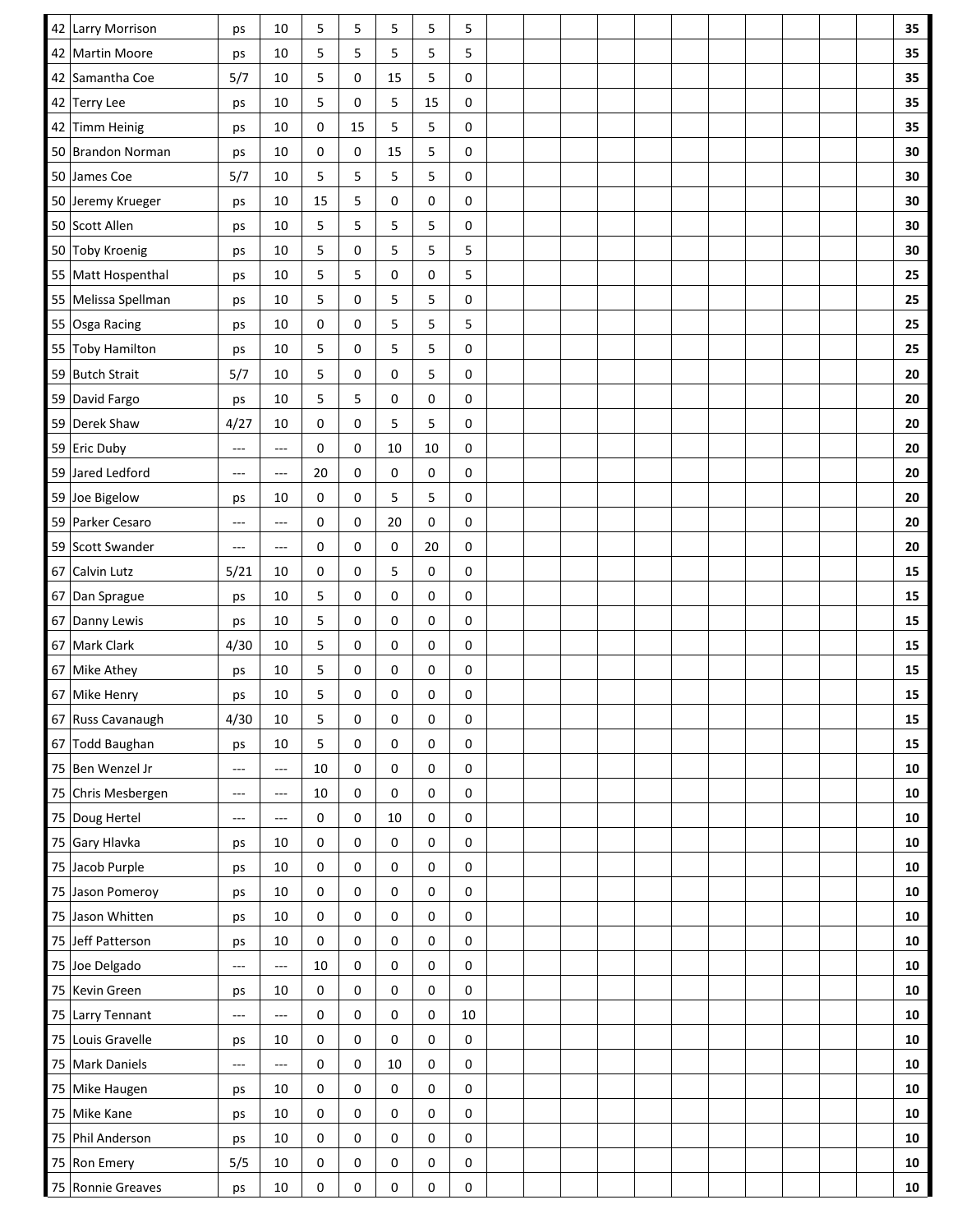|    | 42 Larry Morrison   | ps                       | 10                       | 5           | 5           | 5           | 5  | 5      |  |  |  |  |  | 35         |
|----|---------------------|--------------------------|--------------------------|-------------|-------------|-------------|----|--------|--|--|--|--|--|------------|
| 42 | <b>Martin Moore</b> | ps                       | 10                       | 5           | 5           | 5           | 5  | 5      |  |  |  |  |  | 35         |
|    | 42 Samantha Coe     | 5/7                      | 10                       | 5           | 0           | 15          | 5  | 0      |  |  |  |  |  | 35         |
|    | 42 Terry Lee        | ps                       | 10                       | 5           | 0           | 5           | 15 | 0      |  |  |  |  |  | 35         |
| 42 | Timm Heinig         | ps                       | 10                       | 0           | 15          | 5           | 5  | 0      |  |  |  |  |  | 35         |
|    | 50 Brandon Norman   | ps                       | 10                       | 0           | 0           | 15          | 5  | 0      |  |  |  |  |  | 30         |
|    | 50 James Coe        | 5/7                      | 10                       | 5           | 5           | 5           | 5  | 0      |  |  |  |  |  | 30         |
|    | 50 Jeremy Krueger   | ps                       | 10                       | 15          | 5           | 0           | 0  | 0      |  |  |  |  |  | 30         |
|    | 50 Scott Allen      | ps                       | 10                       | 5           | 5           | 5           | 5  | 0      |  |  |  |  |  | 30         |
|    | 50 Toby Kroenig     | ps                       | 10                       | 5           | 0           | 5           | 5  | 5      |  |  |  |  |  | 30         |
|    | 55 Matt Hospenthal  | ps                       | 10                       | 5           | 5           | 0           | 0  | 5      |  |  |  |  |  | 25         |
|    | 55 Melissa Spellman | ps                       | 10                       | 5           | 0           | 5           | 5  | 0      |  |  |  |  |  | 25         |
|    | 55 Osga Racing      | ps                       | 10                       | 0           | 0           | 5           | 5  | 5      |  |  |  |  |  | 25         |
|    | 55 Toby Hamilton    | ps                       | 10                       | 5           | 0           | 5           | 5  | 0      |  |  |  |  |  | 25         |
|    | 59 Butch Strait     | 5/7                      | 10                       | 5           | 0           | 0           | 5  | 0      |  |  |  |  |  | 20         |
|    | 59 David Fargo      | ps                       | 10                       | 5           | 5           | $\mathbf 0$ | 0  | 0      |  |  |  |  |  | 20         |
|    | 59 Derek Shaw       | 4/27                     | 10                       | 0           | 0           | 5           | 5  | 0      |  |  |  |  |  | 20         |
|    | 59 Eric Duby        | $\qquad \qquad - -$      | $\sim$ $\sim$            | 0           | $\mathsf 0$ | 10          | 10 | 0      |  |  |  |  |  | ${\bf 20}$ |
|    | 59 Jared Ledford    | ---                      | ---                      | 20          | 0           | 0           | 0  | 0      |  |  |  |  |  | 20         |
|    | 59 Joe Bigelow      | ps                       | 10                       | 0           | 0           | 5           | 5  | 0      |  |  |  |  |  | 20         |
|    | 59 Parker Cesaro    | $\cdots$                 | $---$                    | 0           | 0           | 20          | 0  | 0      |  |  |  |  |  | 20         |
|    | 59 Scott Swander    | $---$                    | ---                      | 0           | 0           | 0           | 20 | 0      |  |  |  |  |  | 20         |
|    | 67 Calvin Lutz      | 5/21                     | 10                       | 0           | 0           | 5           | 0  | 0      |  |  |  |  |  | 15         |
|    | 67 Dan Sprague      | ps                       | 10                       | 5           | 0           | 0           | 0  | 0      |  |  |  |  |  | 15         |
|    | 67 Danny Lewis      | ps                       | 10                       | 5           | 0           | 0           | 0  | 0      |  |  |  |  |  | 15         |
|    | 67 Mark Clark       | 4/30                     | 10                       | 5           | 0           | 0           | 0  | 0      |  |  |  |  |  | 15         |
| 67 | Mike Athey          | ps                       | 10                       | 5           | 0           | 0           | 0  | 0      |  |  |  |  |  | 15         |
|    | 67 Mike Henry       | ps                       | 10                       | 5           | 0           | 0           | 0  | 0      |  |  |  |  |  | 15         |
|    | 67 Russ Cavanaugh   | 4/30                     | 10                       | 5           | 0           | 0           | 0  | 0      |  |  |  |  |  | 15         |
|    | 67 Todd Baughan     | ps                       | 10                       | 5           | 0           | 0           | 0  | 0      |  |  |  |  |  | 15         |
|    | 75 Ben Wenzel Jr    | ---                      | $\overline{a}$           | 10          | 0           | 0           | 0  | 0      |  |  |  |  |  | ${\bf 10}$ |
|    | 75 Chris Mesbergen  | $\cdots$                 | $\sim$ $\sim$            | 10          | 0           | 0           | 0  | 0      |  |  |  |  |  | 10         |
|    | 75 Doug Hertel      | ---                      | $---$                    | 0           | 0           | 10          | 0  | 0      |  |  |  |  |  | 10         |
|    | 75 Gary Hlavka      | ps                       | 10                       | 0           | 0           | $\mathbf 0$ | 0  | 0      |  |  |  |  |  | 10         |
|    | 75 Jacob Purple     | ps                       | 10                       | 0           | 0           | 0           | 0  | 0      |  |  |  |  |  | 10         |
|    | 75 Jason Pomeroy    | ps                       | $10\,$                   | 0           | 0           | 0           | 0  | 0      |  |  |  |  |  | ${\bf 10}$ |
|    | 75 Jason Whitten    | ps                       | 10                       | $\mathsf 0$ | 0           | 0           | 0  | 0      |  |  |  |  |  | 10         |
|    | 75 Jeff Patterson   | ps                       | 10                       | 0           | 0           | 0           | 0  | 0      |  |  |  |  |  | ${\bf 10}$ |
|    | 75 Joe Delgado      | $---$                    | $\overline{a}$           | 10          | 0           | 0           | 0  | 0      |  |  |  |  |  | ${\bf 10}$ |
|    | 75 Kevin Green      | ps                       | 10                       | $\mathbf 0$ | 0           | 0           | 0  | 0      |  |  |  |  |  | 10         |
|    | 75 Larry Tennant    | ---                      | $---$                    | 0           | 0           | 0           | 0  | $10\,$ |  |  |  |  |  | ${\bf 10}$ |
|    | 75 Louis Gravelle   | ps                       | 10                       | 0           | 0           | 0           | 0  | 0      |  |  |  |  |  | 10         |
|    | 75 Mark Daniels     | $\overline{\phantom{a}}$ | $\hspace{0.05cm} \ldots$ | $\mathbf 0$ | 0           | 10          | 0  | 0      |  |  |  |  |  | 10         |
|    | 75 Mike Haugen      | ps                       | 10                       | 0           | 0           | 0           | 0  | 0      |  |  |  |  |  | 10         |
|    | 75 Mike Kane        | ps                       | 10                       | 0           | 0           | $\mathbf 0$ | 0  | 0      |  |  |  |  |  | ${\bf 10}$ |
|    | 75 Phil Anderson    | ps                       | 10                       | 0           | 0           | 0           | 0  | 0      |  |  |  |  |  | 10         |
|    | 75 Ron Emery        | 5/5                      | 10                       | 0           | 0           | 0           | 0  | 0      |  |  |  |  |  | 10         |
|    | 75 Ronnie Greaves   | ps                       | 10                       | 0           | 0           | 0           | 0  | 0      |  |  |  |  |  | 10         |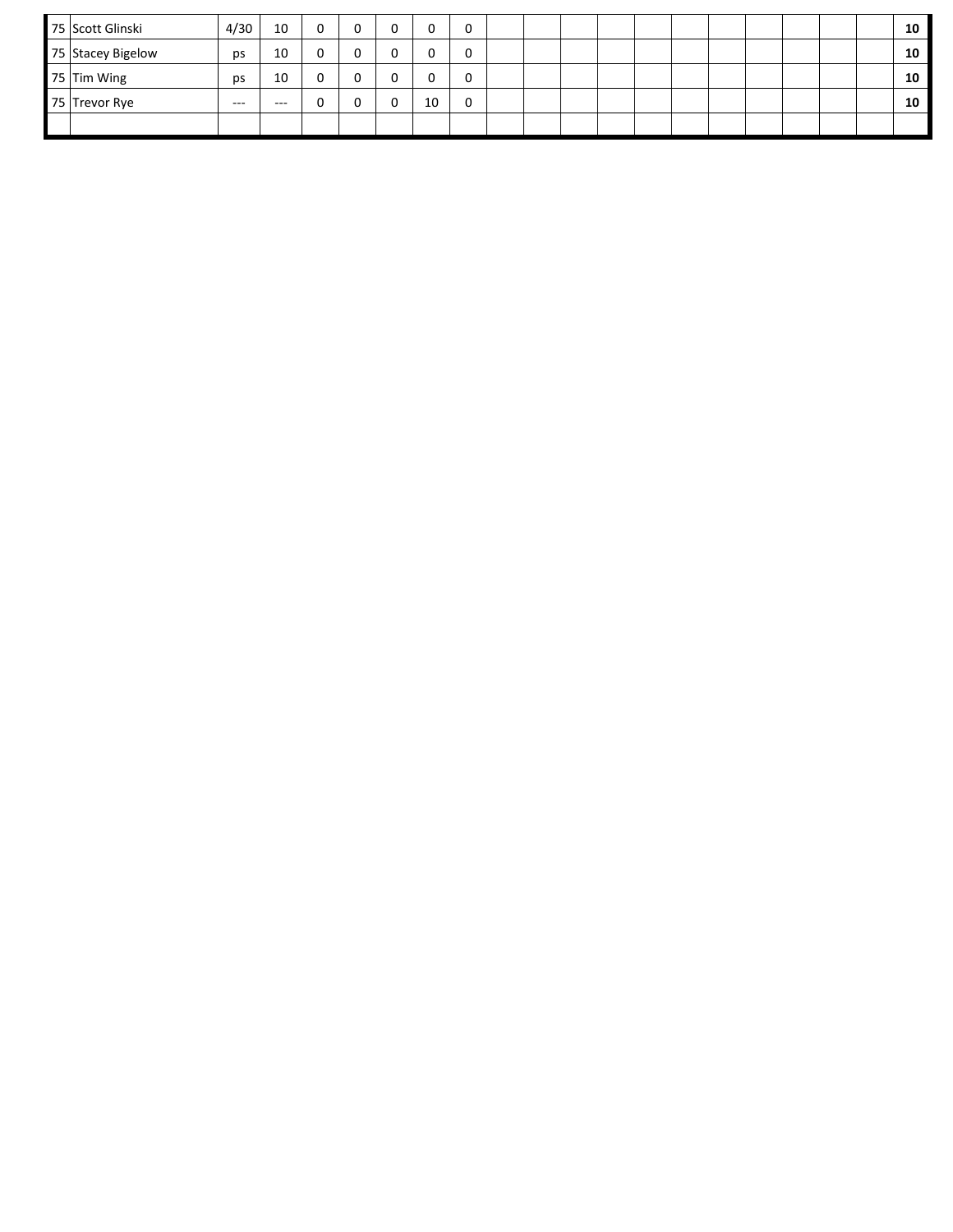| 75 Scott Glinski  | 4/30    | 10      | ╭<br>υ |    |  |  |  |  |  |  | 10 |
|-------------------|---------|---------|--------|----|--|--|--|--|--|--|----|
| 75 Stacey Bigelow | ps      | 10      | υ      |    |  |  |  |  |  |  | 10 |
| 75 Tim Wing       | ps      | 10      | υ      |    |  |  |  |  |  |  | 10 |
| 75 Trevor Rye     | $- - -$ | $- - -$ | u      | 10 |  |  |  |  |  |  | 10 |
|                   |         |         |        |    |  |  |  |  |  |  |    |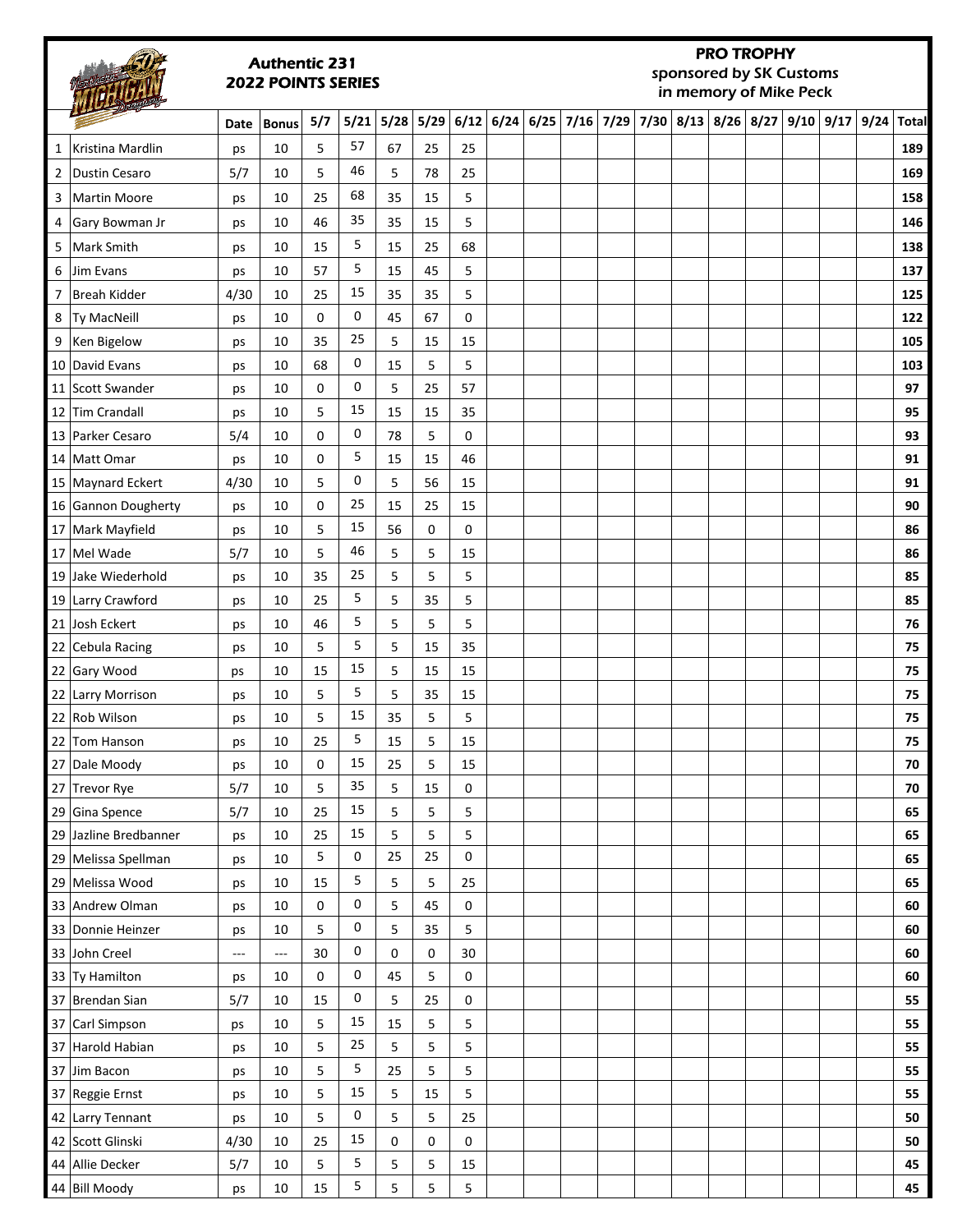# Authentic 231 2022 POINTS SERIES

# PRO TROPHY sponsored by SK Customs

in memory of Mike Peck

|             |                       | Date     | <b>Bonus</b>             | 5/7 | 5/21 | $5/28$ | 5/29 |    |  | $6/12$ 6/24 6/25 7/16 7/29 7/30 8/13 8/26 8/27 |  |  |  | $9/10$ $9/17$ $9/24$ | Total |
|-------------|-----------------------|----------|--------------------------|-----|------|--------|------|----|--|------------------------------------------------|--|--|--|----------------------|-------|
| 1           | Kristina Mardlin      | ps       | 10                       | 5   | 57   | 67     | 25   | 25 |  |                                                |  |  |  |                      | 189   |
| $2^{\circ}$ | Dustin Cesaro         | 5/7      | 10                       | 5   | 46   | 5      | 78   | 25 |  |                                                |  |  |  |                      | 169   |
|             | 3   Martin Moore      | ps       | 10                       | 25  | 68   | 35     | 15   | 5  |  |                                                |  |  |  |                      | 158   |
|             | 4 Gary Bowman Jr      | ps       | 10                       | 46  | 35   | 35     | 15   | 5  |  |                                                |  |  |  |                      | 146   |
|             | 5   Mark Smith        | ps       | 10                       | 15  | 5    | 15     | 25   | 68 |  |                                                |  |  |  |                      | 138   |
| 6           | Jim Evans             | ps       | 10                       | 57  | 5    | 15     | 45   | 5  |  |                                                |  |  |  |                      | 137   |
|             | 7 Breah Kidder        | 4/30     | 10                       | 25  | 15   | 35     | 35   | 5  |  |                                                |  |  |  |                      | 125   |
|             | 8   Ty MacNeill       | ps       | 10                       | 0   | 0    | 45     | 67   | 0  |  |                                                |  |  |  |                      | 122   |
|             | 9 Ken Bigelow         | ps       | 10                       | 35  | 25   | 5      | 15   | 15 |  |                                                |  |  |  |                      | 105   |
|             | 10 David Evans        | ps       | 10                       | 68  | 0    | 15     | 5    | 5  |  |                                                |  |  |  |                      | 103   |
|             | 11 Scott Swander      | ps       | 10                       | 0   | 0    | 5      | 25   | 57 |  |                                                |  |  |  |                      | 97    |
|             | 12 Tim Crandall       | ps       | 10                       | 5   | 15   | 15     | 15   | 35 |  |                                                |  |  |  |                      | 95    |
|             | 13 Parker Cesaro      | 5/4      | 10                       | 0   | 0    | 78     | 5    | 0  |  |                                                |  |  |  |                      | 93    |
|             | 14 Matt Omar          | ps       | 10                       | 0   | 5    | 15     | 15   | 46 |  |                                                |  |  |  |                      | 91    |
|             | 15 Maynard Eckert     | 4/30     | 10                       | 5   | 0    | 5      | 56   | 15 |  |                                                |  |  |  |                      | 91    |
|             | 16 Gannon Dougherty   | ps       | 10                       | 0   | 25   | 15     | 25   | 15 |  |                                                |  |  |  |                      | 90    |
|             | 17 Mark Mayfield      | ps       | 10                       | 5   | 15   | 56     | 0    | 0  |  |                                                |  |  |  |                      | 86    |
|             | 17 Mel Wade           | 5/7      | 10                       | 5   | 46   | 5      | 5    | 15 |  |                                                |  |  |  |                      | 86    |
|             | 19 Jake Wiederhold    | ps       | 10                       | 35  | 25   | 5      | 5    | 5  |  |                                                |  |  |  |                      | 85    |
|             | 19 Larry Crawford     | ps       | 10                       | 25  | 5    | 5      | 35   | 5  |  |                                                |  |  |  |                      | 85    |
|             | 21 Josh Eckert        | ps       | 10                       | 46  | 5    | 5      | 5    | 5  |  |                                                |  |  |  |                      | 76    |
|             | 22 Cebula Racing      | ps       | 10                       | 5   | 5    | 5      | 15   | 35 |  |                                                |  |  |  |                      | 75    |
|             | 22 Gary Wood          | ps       | 10                       | 15  | 15   | 5      | 15   | 15 |  |                                                |  |  |  |                      | 75    |
|             | 22 Larry Morrison     | ps       | 10                       | 5   | 5    | 5      | 35   | 15 |  |                                                |  |  |  |                      | 75    |
|             | 22 Rob Wilson         | ps       | 10                       | 5   | 15   | 35     | 5    | 5  |  |                                                |  |  |  |                      | 75    |
|             | 22 Tom Hanson         | ps       | 10                       | 25  | 5    | 15     | 5    | 15 |  |                                                |  |  |  |                      | 75    |
|             | 27 Dale Moody         | ps       | 10                       | 0   | 15   | 25     | 5    | 15 |  |                                                |  |  |  |                      | 70    |
|             | 27 Trevor Rye         | 5/7      | 10                       | 5   | 35   | 5      | 15   | 0  |  |                                                |  |  |  |                      | 70    |
|             | 29 Gina Spence        | 5/7      | 10                       | 25  | 15   | 5      | 5    | 5  |  |                                                |  |  |  |                      | 65    |
|             | 29 Jazline Bredbanner | ps       | 10                       | 25  | 15   | 5      | 5    | 5  |  |                                                |  |  |  |                      | 65    |
|             | 29 Melissa Spellman   | ps       | 10                       | 5   | 0    | 25     | 25   | 0  |  |                                                |  |  |  |                      | 65    |
|             | 29 Melissa Wood       | ps       | 10                       | 15  | 5    | 5      | 5    | 25 |  |                                                |  |  |  |                      | 65    |
|             | 33 Andrew Olman       | ps       | 10                       | 0   | 0    | 5      | 45   | 0  |  |                                                |  |  |  |                      | 60    |
|             | 33 Donnie Heinzer     | ps       | 10                       | 5   | 0    | 5      | 35   | 5  |  |                                                |  |  |  |                      | 60    |
|             | 33 John Creel         | $\cdots$ | $\hspace{0.05cm} \ldots$ | 30  | 0    | 0      | 0    | 30 |  |                                                |  |  |  |                      | 60    |
|             | 33 Ty Hamilton        | ps       | 10                       | 0   | 0    | 45     | 5    | 0  |  |                                                |  |  |  |                      | 60    |
|             | 37 Brendan Sian       | 5/7      | 10                       | 15  | 0    | 5      | 25   | 0  |  |                                                |  |  |  |                      | 55    |
|             | 37 Carl Simpson       | ps       | 10                       | 5   | 15   | 15     | 5    | 5  |  |                                                |  |  |  |                      | 55    |
|             | 37 Harold Habian      | ps       | 10                       | 5   | 25   | 5      | 5    | 5  |  |                                                |  |  |  |                      | 55    |
|             | 37 Jim Bacon          | ps       | 10                       | 5   | 5    | 25     | 5    | 5  |  |                                                |  |  |  |                      | 55    |
|             | 37 Reggie Ernst       | ps       | 10                       | 5   | 15   | 5      | 15   | 5  |  |                                                |  |  |  |                      | 55    |
|             | 42 Larry Tennant      | ps       | 10                       | 5   | 0    | 5      | 5    | 25 |  |                                                |  |  |  |                      | 50    |
|             | 42 Scott Glinski      | 4/30     | $10\,$                   | 25  | 15   | 0      | 0    | 0  |  |                                                |  |  |  |                      | 50    |
|             | 44 Allie Decker       | 5/7      | $10\,$                   | 5   | 5    | 5      | 5    | 15 |  |                                                |  |  |  |                      | 45    |
|             | 44 Bill Moody         | ps       | 10                       | 15  | 5    | 5      | 5    | 5  |  |                                                |  |  |  |                      | 45    |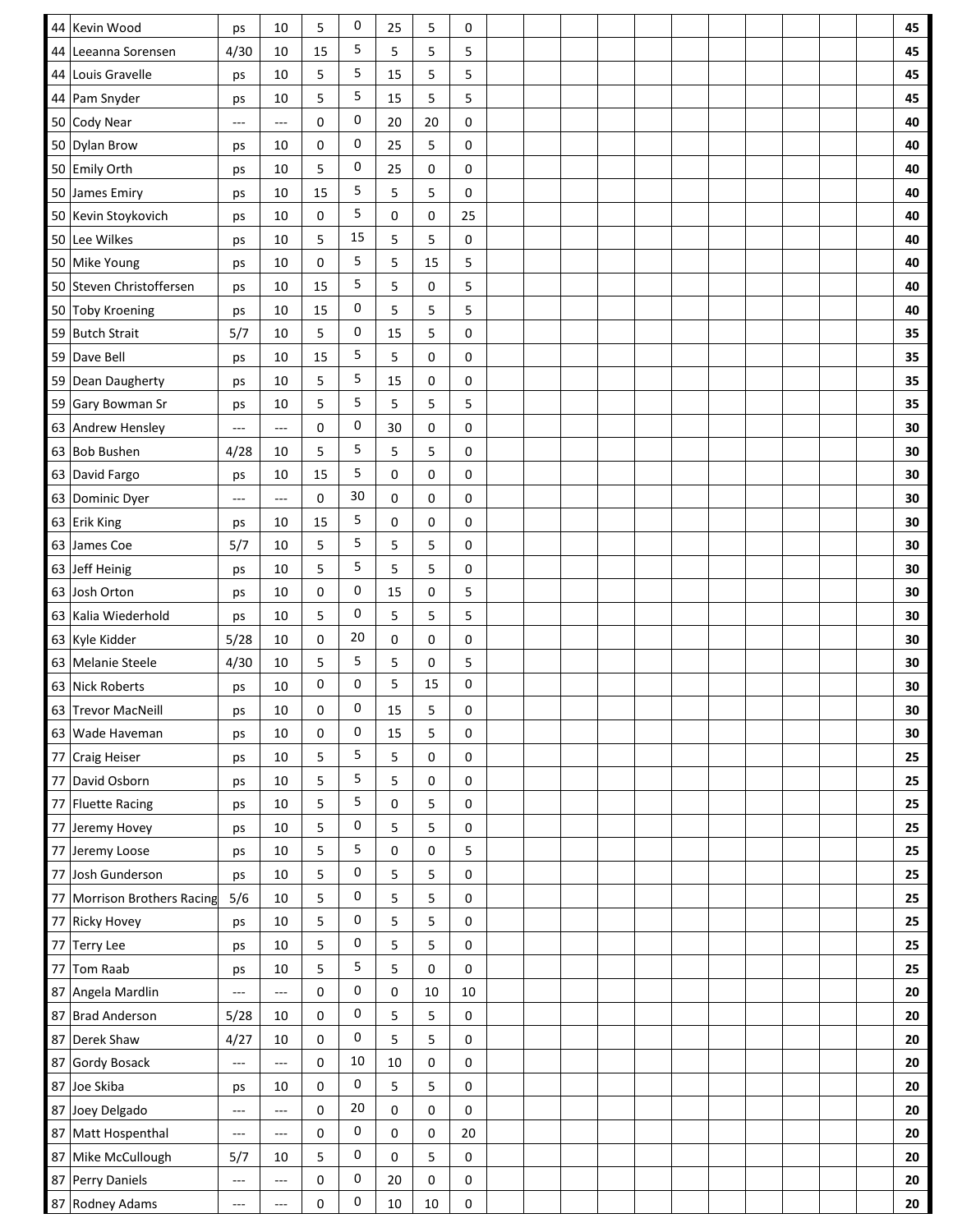| 44 Kevin Wood               | ps                                                                                                                                                | 10                       | 5        | 0  | 25 | 5           | 0      |  |  |  |  |  | 45         |
|-----------------------------|---------------------------------------------------------------------------------------------------------------------------------------------------|--------------------------|----------|----|----|-------------|--------|--|--|--|--|--|------------|
| 44 Leeanna Sorensen         | 4/30                                                                                                                                              | 10                       | 15       | 5  | 5  | 5           | 5      |  |  |  |  |  | 45         |
| 44 Louis Gravelle           | ps                                                                                                                                                | 10                       | 5        | 5  | 15 | 5           | 5      |  |  |  |  |  | 45         |
| 44 Pam Snyder               | ps                                                                                                                                                | 10                       | 5        | 5  | 15 | 5           | 5      |  |  |  |  |  | 45         |
| 50 Cody Near                | $\sim$ $\sim$                                                                                                                                     | ---                      | 0        | 0  | 20 | 20          | 0      |  |  |  |  |  | 40         |
| 50 Dylan Brow               | ps                                                                                                                                                | 10                       | 0        | 0  | 25 | 5           | 0      |  |  |  |  |  | 40         |
| 50 Emily Orth               | ps                                                                                                                                                | 10                       | 5        | 0  | 25 | 0           | 0      |  |  |  |  |  | 40         |
| 50 James Emiry              | ps                                                                                                                                                | 10                       | 15       | 5  | 5  | 5           | 0      |  |  |  |  |  | 40         |
| 50 Kevin Stoykovich         | ps                                                                                                                                                | 10                       | 0        | 5  | 0  | 0           | 25     |  |  |  |  |  | 40         |
| 50 Lee Wilkes               | ps                                                                                                                                                | 10                       | 5        | 15 | 5  | 5           | 0      |  |  |  |  |  | 40         |
| 50 Mike Young               | ps                                                                                                                                                | 10                       | 0        | 5  | 5  | 15          | 5      |  |  |  |  |  | 40         |
| 50 Steven Christoffersen    | ps                                                                                                                                                | 10                       | 15       | 5  | 5  | 0           | 5      |  |  |  |  |  | 40         |
| 50 Toby Kroening            | ps                                                                                                                                                | 10                       | 15       | 0  | 5  | 5           | 5      |  |  |  |  |  | 40         |
| 59 Butch Strait             | 5/7                                                                                                                                               | 10                       | 5        | 0  | 15 | 5           | 0      |  |  |  |  |  | 35         |
| 59 Dave Bell                | ps                                                                                                                                                | 10                       | 15       | 5  | 5  | 0           | 0      |  |  |  |  |  | 35         |
| 59 Dean Daugherty           | ps                                                                                                                                                | 10                       | 5        | 5  | 15 | 0           | 0      |  |  |  |  |  | 35         |
| 59 Gary Bowman Sr           | ps                                                                                                                                                | 10                       | 5        | 5  | 5  | 5           | 5      |  |  |  |  |  | 35         |
| 63 Andrew Hensley           | ---                                                                                                                                               | ---                      | 0        | 0  | 30 | 0           | 0      |  |  |  |  |  | 30         |
| 63 Bob Bushen               | 4/28                                                                                                                                              | 10                       | 5        | 5  | 5  | 5           | 0      |  |  |  |  |  | 30         |
| 63 David Fargo              | ps                                                                                                                                                | 10                       | 15       | 5  | 0  | 0           | 0      |  |  |  |  |  | 30         |
| 63 Dominic Dyer             | $\sim$ $\sim$                                                                                                                                     | ---                      | 0        | 30 | 0  | 0           | 0      |  |  |  |  |  | 30         |
| 63 Erik King                | ps                                                                                                                                                | 10                       | 15       | 5  | 0  | 0           | 0      |  |  |  |  |  | 30         |
| James Coe<br>63             | 5/7                                                                                                                                               | 10                       | 5        | 5  | 5  | 5           | 0      |  |  |  |  |  | 30         |
| 63 Jeff Heinig              | ps                                                                                                                                                | 10                       | 5        | 5  | 5  | 5           | 0      |  |  |  |  |  | 30         |
| Josh Orton<br>63            | ps                                                                                                                                                | 10                       | 0        | 0  | 15 | 0           | 5      |  |  |  |  |  | 30         |
| 63 Kalia Wiederhold         | ps                                                                                                                                                | 10                       | 5        | 0  | 5  | 5           | 5      |  |  |  |  |  | 30         |
| 63 Kyle Kidder              | 5/28                                                                                                                                              | 10                       | 0        | 20 | 0  | 0           | 0      |  |  |  |  |  | 30         |
| 63 Melanie Steele           | 4/30                                                                                                                                              | 10                       | 5        | 5  | 5  | 0           | 5      |  |  |  |  |  | 30         |
| 63 Nick Roberts             | ps                                                                                                                                                | 10                       | 0        | 0  | 5  | 15          | 0      |  |  |  |  |  | 30         |
| 63 Trevor MacNeill          | ps                                                                                                                                                | 10                       | $\Omega$ | 0  | 15 | 5           | 0      |  |  |  |  |  | 30         |
| 63 Wade Haveman             | ps                                                                                                                                                | 10                       | 0        | 0  | 15 | 5           | 0      |  |  |  |  |  | 30         |
| 77 Craig Heiser             | ps                                                                                                                                                | 10                       | 5        | 5  | 5  | 0           | 0      |  |  |  |  |  | 25         |
| 77 David Osborn             | ps                                                                                                                                                | $10\,$                   | 5        | 5  | 5  | 0           | 0      |  |  |  |  |  | 25         |
| 77 Fluette Racing           | ps                                                                                                                                                | 10                       | 5        | 5  | 0  | 5           | 0      |  |  |  |  |  | 25         |
| 77 Jeremy Hovey             | ps                                                                                                                                                | 10                       | 5        | 0  | 5  | 5           | 0      |  |  |  |  |  | 25         |
| 77 Jeremy Loose             | ps                                                                                                                                                | 10                       | 5        | 5  | 0  | 0           | 5      |  |  |  |  |  | 25         |
| 77 Josh Gunderson           | ps                                                                                                                                                | $10\,$                   | 5        | 0  | 5  | 5           | 0      |  |  |  |  |  | 25         |
| 77 Morrison Brothers Racing | 5/6                                                                                                                                               | 10                       | 5        | 0  | 5  | 5           | 0      |  |  |  |  |  | 25         |
| 77 Ricky Hovey              | ps                                                                                                                                                | $10\,$                   | 5        | 0  | 5  | 5           | 0      |  |  |  |  |  | 25         |
| Terry Lee<br>77             | ps                                                                                                                                                | 10                       | 5        | 0  | 5  | 5           | 0      |  |  |  |  |  | 25         |
| Tom Raab<br>77              | ps                                                                                                                                                | 10                       | 5        | 5  | 5  | $\mathbf 0$ | 0      |  |  |  |  |  | 25         |
| 87 Angela Mardlin           | $\sim$ $\sim$                                                                                                                                     | $\overline{a}$           | 0        | 0  | 0  | 10          | $10\,$ |  |  |  |  |  | 20         |
| 87 Brad Anderson            | 5/28                                                                                                                                              | 10                       | 0        | 0  | 5  | 5           | 0      |  |  |  |  |  | ${\bf 20}$ |
| 87 Derek Shaw               | 4/27                                                                                                                                              | 10                       | 0        | 0  | 5  | 5           | 0      |  |  |  |  |  | 20         |
| 87 Gordy Bosack             | $\hspace{0.02in} \hspace{0.02in} \hspace{0.02in} \hspace{0.02in} \hspace{0.02in} \hspace{0.02in} \hspace{0.02in} \hspace{0.02in} \hspace{0.02in}$ | ---                      | 0        | 10 | 10 | 0           | 0      |  |  |  |  |  | 20         |
| 87 Joe Skiba                | ps                                                                                                                                                | 10                       | 0        | 0  | 5  | 5           | 0      |  |  |  |  |  | 20         |
| Joey Delgado<br>87          | $-\!-\!$                                                                                                                                          | ---                      | 0        | 20 | 0  | 0           | 0      |  |  |  |  |  | 20         |
| 87 Matt Hospenthal          | $\overline{\phantom{a}}$                                                                                                                          | $\overline{\phantom{a}}$ | 0        | 0  | 0  | 0           | 20     |  |  |  |  |  | 20         |
| 87 Mike McCullough          | 5/7                                                                                                                                               | 10                       | 5        | 0  | 0  | 5           | 0      |  |  |  |  |  | 20         |
| 87 Perry Daniels            | $-\!-\!$                                                                                                                                          | $\overline{a}$           | 0        | 0  | 20 | 0           | 0      |  |  |  |  |  | 20         |
| 87 Rodney Adams             | $-\!-\!$                                                                                                                                          | ---                      | 0        | 0  | 10 | $10\,$      | 0      |  |  |  |  |  | 20         |
|                             |                                                                                                                                                   |                          |          |    |    |             |        |  |  |  |  |  |            |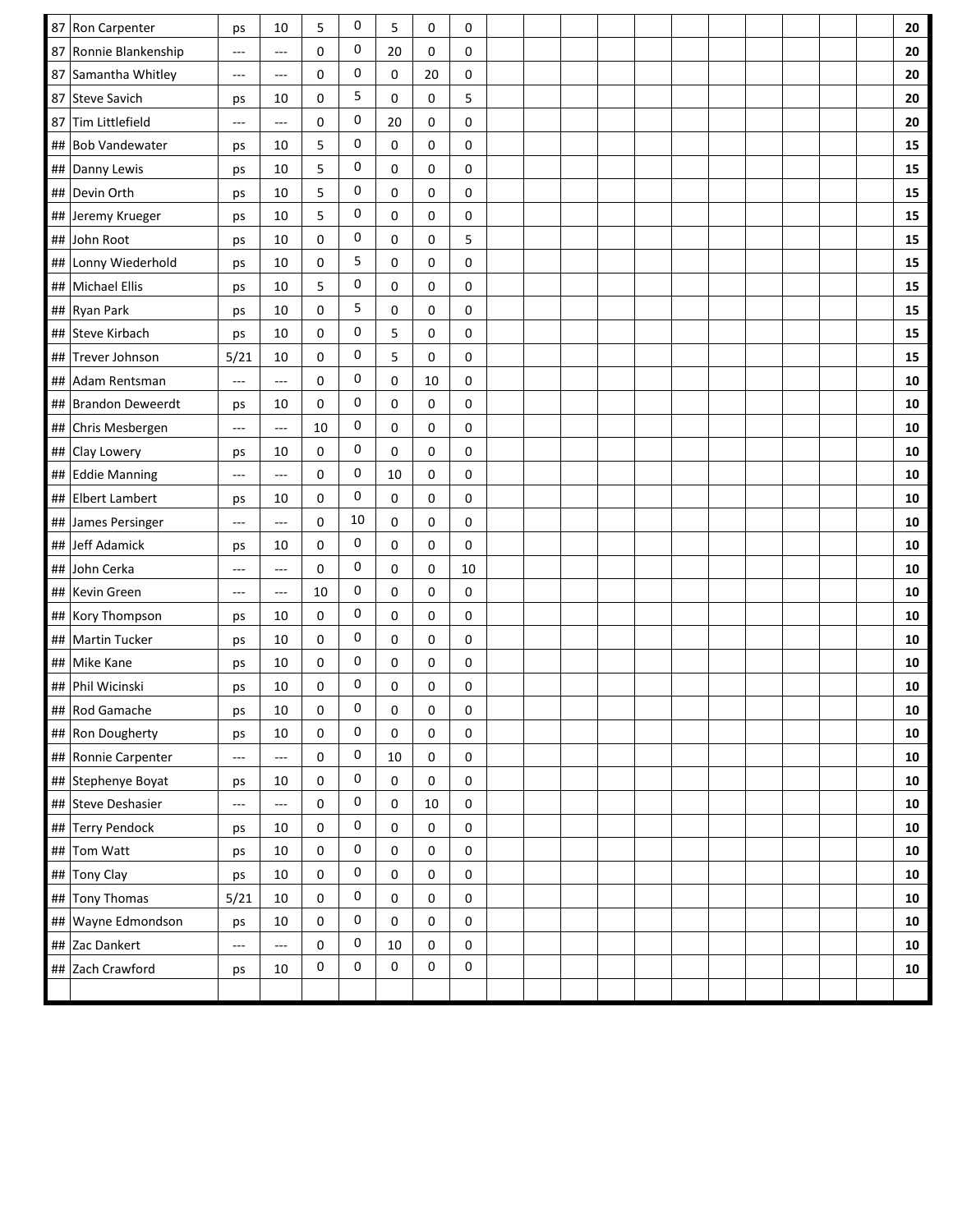|    | 87 Ron Carpenter      | ps                       | 10                   | 5           | 0         | 5           | 0         | 0      |  |  |  |  |  | 20         |
|----|-----------------------|--------------------------|----------------------|-------------|-----------|-------------|-----------|--------|--|--|--|--|--|------------|
|    | 87 Ronnie Blankenship | ---                      | ---                  | 0           | 0         | 20          | 0         | 0      |  |  |  |  |  | 20         |
|    | 87 Samantha Whitley   | $---$                    | ---                  | 0           | 0         | 0           | 20        | 0      |  |  |  |  |  | 20         |
|    | 87 Steve Savich       | ps                       | 10                   | 0           | 5         | 0           | 0         | 5      |  |  |  |  |  | 20         |
|    | 87 Tim Littlefield    | $\rightarrow$            | $\overline{a}$       | 0           | 0         | 20          | 0         | 0      |  |  |  |  |  | 20         |
|    | ## Bob Vandewater     | ps                       | 10                   | 5           | 0         | 0           | 0         | 0      |  |  |  |  |  | 15         |
|    | ## Danny Lewis        | ps                       | 10                   | 5           | 0         | 0           | 0         | 0      |  |  |  |  |  | 15         |
|    | ## Devin Orth         | ps                       | 10                   | 5           | 0         | 0           | 0         | 0      |  |  |  |  |  | 15         |
|    | ## Jeremy Krueger     | ps                       | 10                   | 5           | 0         | $\mathbf 0$ | 0         | 0      |  |  |  |  |  | 15         |
| ## | John Root             | ps                       | 10                   | 0           | 0         | 0           | 0         | 5      |  |  |  |  |  | 15         |
|    | ## Lonny Wiederhold   | ps                       | 10                   | 0           | 5         | 0           | 0         | 0      |  |  |  |  |  | 15         |
|    | ##   Michael Ellis    | ps                       | 10                   | 5           | 0         | 0           | 0         | 0      |  |  |  |  |  | 15         |
|    | ## Ryan Park          | ps                       | 10                   | $\mathbf 0$ | 5         | 0           | 0         | 0      |  |  |  |  |  | 15         |
| ## | Steve Kirbach         | ps                       | 10                   | 0           | 0         | 5           | 0         | 0      |  |  |  |  |  | 15         |
|    | ## Trever Johnson     | 5/21                     | 10                   | $\mathbf 0$ | 0         | 5           | 0         | 0      |  |  |  |  |  | 15         |
| ## | Adam Rentsman         | $\overline{a}$           | $\overline{a}$       | 0           | 0         | $\mathbf 0$ | 10        | 0      |  |  |  |  |  | 10         |
|    | ## Brandon Deweerdt   | ps                       | 10                   | $\mathbf 0$ | 0         | 0           | 0         | 0      |  |  |  |  |  | ${\bf 10}$ |
|    | ## Chris Mesbergen    | $\overline{\phantom{a}}$ | $\qquad \qquad -$    | 10          | 0         | 0           | 0         | 0      |  |  |  |  |  | 10         |
|    | ## Clay Lowery        | ps                       | 10                   | 0           | 0         | 0           | 0         | 0      |  |  |  |  |  | 10         |
|    | ## Eddie Manning      | ---                      | $\sim$ $\sim$ $\sim$ | 0           | 0         | 10          | 0         | 0      |  |  |  |  |  | 10         |
|    | ## Elbert Lambert     | ps                       | 10                   | 0           | 0         | 0           | 0         | 0      |  |  |  |  |  | ${\bf 10}$ |
|    | ## James Persinger    | $---$                    | ---                  | 0           | 10        | 0           | 0         | 0      |  |  |  |  |  | 10         |
|    | ## Jeff Adamick       | ps                       | 10                   | 0           | 0         | 0           | 0         | 0      |  |  |  |  |  | 10         |
|    | ## John Cerka         | $---$                    | ---                  | 0           | 0         | 0           | 0         | $10\,$ |  |  |  |  |  | 10         |
|    | ## Kevin Green        | $---$                    | ---                  | 10          | 0         | 0           | 0         | 0      |  |  |  |  |  | 10         |
|    | ## Kory Thompson      | ps                       | 10                   | $\mathbf 0$ | 0         | 0           | 0         | 0      |  |  |  |  |  | 10         |
|    | ## Martin Tucker      | ps                       | 10                   | 0           | 0         | 0           | 0         | 0      |  |  |  |  |  | 10         |
|    | ## Mike Kane          | ps                       | 10                   | 0           | 0         | $\mathbf 0$ | 0         | 0      |  |  |  |  |  | 10         |
|    | ## Phil Wicinski      | ps                       | 10                   | 0           | 0         | 0           | 0         | 0      |  |  |  |  |  | 10         |
|    | ## Rod Gamache        | ps                       | $10\,$               | 0           | $\pmb{0}$ | 0           | $\pmb{0}$ | 0      |  |  |  |  |  | 10         |
|    | ## Ron Dougherty      | ps                       | $10\,$               | 0           | 0         | 0           | 0         | 0      |  |  |  |  |  | ${\bf 10}$ |
|    | ## Ronnie Carpenter   | $\overline{a}$           | $\cdots$             | 0           | $\pmb{0}$ | 10          | 0         | 0      |  |  |  |  |  | ${\bf 10}$ |
|    | ## Stephenye Boyat    | ps                       | 10                   | 0           | 0         | 0           | 0         | 0      |  |  |  |  |  | ${\bf 10}$ |
|    | ## Steve Deshasier    | $---$                    | $\overline{a}$       | 0           | 0         | 0           | $10\,$    | 0      |  |  |  |  |  | ${\bf 10}$ |
|    | ## Terry Pendock      | ps                       | 10                   | 0           | 0         | 0           | 0         | 0      |  |  |  |  |  | ${\bf 10}$ |
|    | ## Tom Watt           | ps                       | 10                   | 0           | 0         | 0           | 0         | 0      |  |  |  |  |  | ${\bf 10}$ |
|    | ## Tony Clay          | ps                       | 10                   | 0           | 0         | 0           | 0         | 0      |  |  |  |  |  | 10         |
|    | ## Tony Thomas        | 5/21                     | $10\,$               | $\pmb{0}$   | 0         | 0           | 0         | 0      |  |  |  |  |  | ${\bf 10}$ |
|    | ## Wayne Edmondson    | ps                       | 10                   | 0           | 0         | 0           | 0         | 0      |  |  |  |  |  | ${\bf 10}$ |
|    | ## Zac Dankert        | ---                      | ---                  | 0           | 0         | 10          | 0         | 0      |  |  |  |  |  | ${\bf 10}$ |
|    | ## Zach Crawford      | ps                       | 10                   | 0           | 0         | 0           | 0         | 0      |  |  |  |  |  | 10         |
|    |                       |                          |                      |             |           |             |           |        |  |  |  |  |  |            |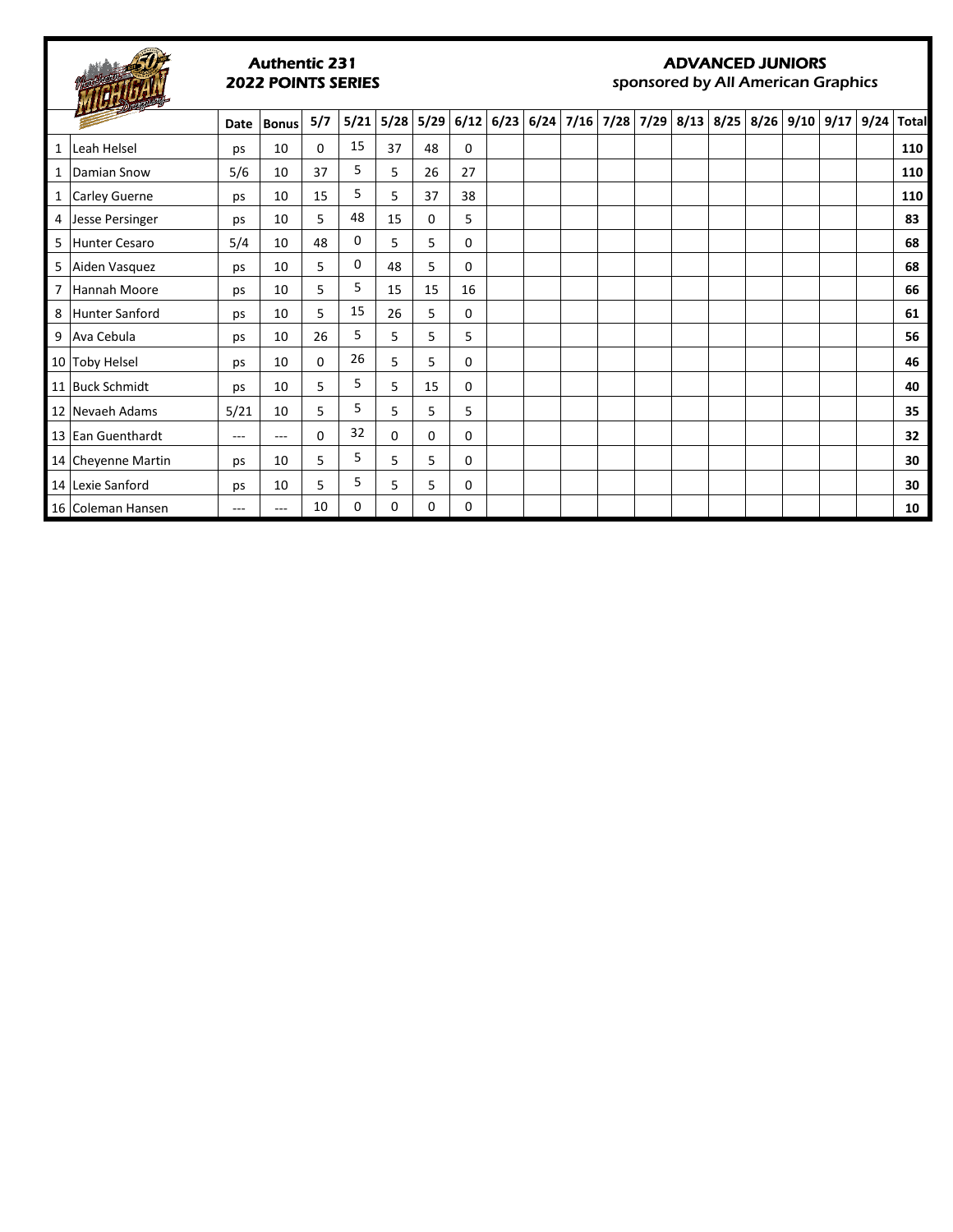

#### Authentic 231 2022 POINTS SERIES

#### ADVANCED JUNIORS

sponsored by All American Graphics

|                | $\frac{1}{\sqrt{2}}$  | Date | <b>Bonus</b> | 5/7      | 5/21 | 5/28     | 5/29 | 6/12     |  | $6/23$ 6/24 7/16 7/28 7/29 8/13 8/25 8/26 9/10 9/17 |  |  |  | 9/24 | <b>Total</b> |
|----------------|-----------------------|------|--------------|----------|------|----------|------|----------|--|-----------------------------------------------------|--|--|--|------|--------------|
| $\mathbf{1}$   | Leah Helsel           | ps   | 10           | $\Omega$ | 15   | 37       | 48   | $\Omega$ |  |                                                     |  |  |  |      | 110          |
| 1 <sup>1</sup> | Damian Snow           | 5/6  | 10           | 37       | 5    | 5        | 26   | 27       |  |                                                     |  |  |  |      | 110          |
|                | 1 Carley Guerne       | ps   | 10           | 15       | 5    | 5        | 37   | 38       |  |                                                     |  |  |  |      | 110          |
|                | 4 Jesse Persinger     | ps   | 10           | 5        | 48   | 15       | 0    | 5        |  |                                                     |  |  |  |      | 83           |
| 5              | Hunter Cesaro         | 5/4  | 10           | 48       | 0    | 5        | 5    | $\Omega$ |  |                                                     |  |  |  |      | 68           |
|                | 5 Aiden Vasquez       | ps   | 10           | 5        | 0    | 48       | 5    | $\Omega$ |  |                                                     |  |  |  |      | 68           |
|                | 7 Hannah Moore        | ps   | 10           | 5.       | 5    | 15       | 15   | 16       |  |                                                     |  |  |  |      | 66           |
| 8              | <b>Hunter Sanford</b> | ps   | 10           | 5        | 15   | 26       | 5    | 0        |  |                                                     |  |  |  |      | 61           |
|                | 9   Ava Cebula        | ps   | 10           | 26       | 5    | 5        | 5    | 5        |  |                                                     |  |  |  |      | 56           |
|                | 10 Toby Helsel        | ps   | 10           | $\Omega$ | 26   | 5        | 5    | 0        |  |                                                     |  |  |  |      | 46           |
|                | 11 Buck Schmidt       | ps   | 10           | 5        | 5    | 5        | 15   | $\Omega$ |  |                                                     |  |  |  |      | 40           |
|                | 12 Nevaeh Adams       | 5/21 | 10           | 5.       | 5    | 5        | 5    | 5        |  |                                                     |  |  |  |      | 35           |
|                | 13 Ean Guenthardt     | ---  | ---          | 0        | 32   | $\Omega$ | 0    | 0        |  |                                                     |  |  |  |      | 32           |
|                | 14 Cheyenne Martin    | ps   | 10           | 5        | 5    | 5        | 5    | 0        |  |                                                     |  |  |  |      | 30           |
|                | 14 Lexie Sanford      | ps   | 10           | 5        | 5    | 5        | 5    | 0        |  |                                                     |  |  |  |      | 30           |
|                | 16 Coleman Hansen     | ---  | ---          | 10       | 0    | 0        | 0    | 0        |  |                                                     |  |  |  |      | 10           |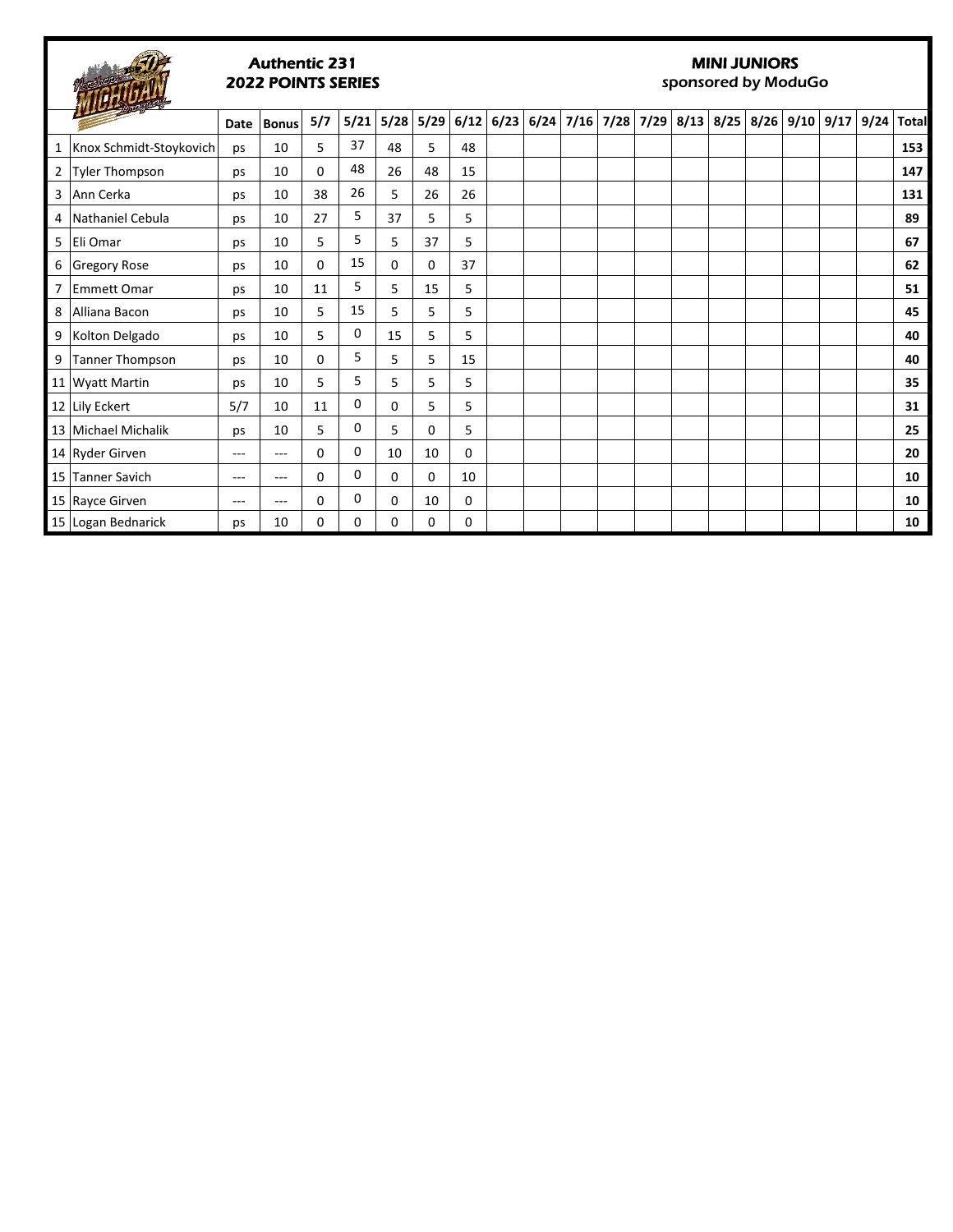### Authentic 231 2022 POINTS SERIES

# MINI JUNIORS

sponsored by ModuGo

|   | $\frac{1}{2}$           | Date  | <b>Bonus</b> | 5/7 | 5/21 | 5/28 | 5/29 |    | $6/12$ 6/23 |  |  |  | $6/24$ 7/16 7/28 7/29 8/13 8/25 8/26 9/10 9/17 | 9/24 | <b>Total</b> |
|---|-------------------------|-------|--------------|-----|------|------|------|----|-------------|--|--|--|------------------------------------------------|------|--------------|
| 1 | Knox Schmidt-Stoykovich | ps    | 10           | 5   | 37   | 48   | 5    | 48 |             |  |  |  |                                                |      | 153          |
|   | 2 Tyler Thompson        | ps    | 10           | 0   | 48   | 26   | 48   | 15 |             |  |  |  |                                                |      | 147          |
|   | 3 Ann Cerka             | ps    | 10           | 38  | 26   | 5    | 26   | 26 |             |  |  |  |                                                |      | 131          |
|   | 4 Nathaniel Cebula      | ps    | 10           | 27  | 5    | 37   | 5    | 5  |             |  |  |  |                                                |      | 89           |
|   | 5 Eli Omar              | ps    | 10           | 5   | 5    | 5    | 37   | 5  |             |  |  |  |                                                |      | 67           |
|   | 6 Gregory Rose          | ps    | 10           | 0   | 15   | 0    | 0    | 37 |             |  |  |  |                                                |      | 62           |
|   | 7 Emmett Omar           | ps    | 10           | 11  | 5    | 5    | 15   | 5  |             |  |  |  |                                                |      | 51           |
| 8 | Alliana Bacon           | ps    | 10           | 5   | 15   | 5    | 5    | 5  |             |  |  |  |                                                |      | 45           |
|   | 9 Kolton Delgado        | ps    | 10           | 5   | 0    | 15   | 5    | 5  |             |  |  |  |                                                |      | 40           |
|   | 9 Tanner Thompson       | ps    | 10           | 0   | 5    | 5    | 5    | 15 |             |  |  |  |                                                |      | 40           |
|   | 11 Wyatt Martin         | ps    | 10           | 5   | 5    | 5    | 5    | 5  |             |  |  |  |                                                |      | 35           |
|   | 12 Lily Eckert          | 5/7   | 10           | 11  | 0    | 0    | 5    | 5  |             |  |  |  |                                                |      | 31           |
|   | 13 Michael Michalik     | ps    | 10           | 5   | 0    | 5    | 0    | 5  |             |  |  |  |                                                |      | 25           |
|   | 14 Ryder Girven         | $---$ | ---          | 0   | 0    | 10   | 10   | 0  |             |  |  |  |                                                |      | 20           |
|   | 15 Tanner Savich        | $---$ | $---$        | 0   | 0    | 0    | 0    | 10 |             |  |  |  |                                                |      | 10           |
|   | 15 Rayce Girven         | $---$ | $---$        | 0   | 0    | 0    | 10   | 0  |             |  |  |  |                                                |      | 10           |
|   | 15 Logan Bednarick      | ps    | 10           | 0   | 0    | 0    | 0    | 0  |             |  |  |  |                                                |      | 10           |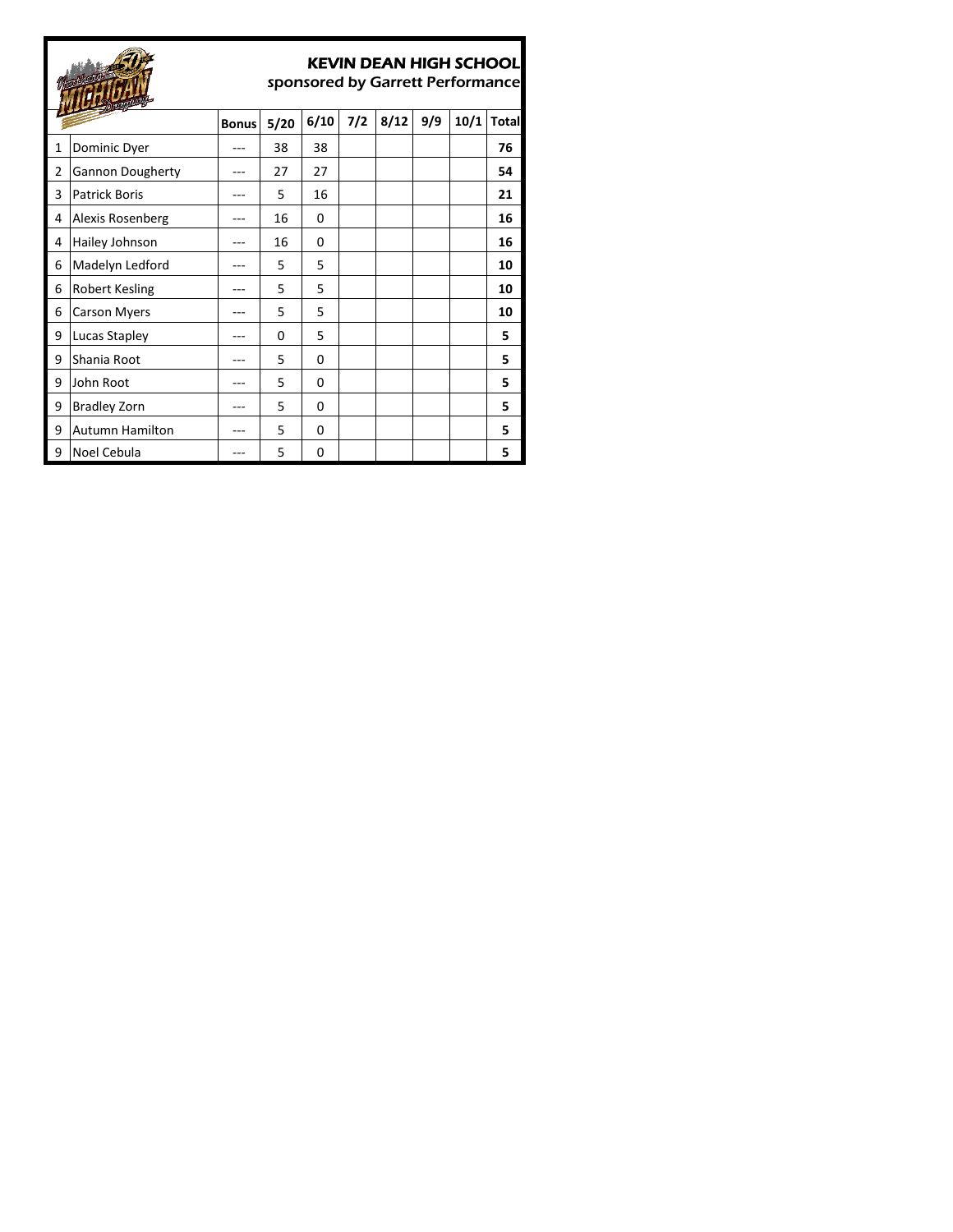|                |                         |              |      |      |     | KEVIN DEAN HIGH SCHOOL<br>sponsored by Garrett Performance |     |      |              |
|----------------|-------------------------|--------------|------|------|-----|------------------------------------------------------------|-----|------|--------------|
|                |                         | <b>Bonus</b> | 5/20 | 6/10 | 7/2 | 8/12                                                       | 9/9 | 10/1 | <b>Total</b> |
| 1              | Dominic Dyer            |              | 38   | 38   |     |                                                            |     |      | 76           |
| $\overline{2}$ | <b>Gannon Dougherty</b> |              | 27   | 27   |     |                                                            |     |      | 54           |
| 3              | <b>Patrick Boris</b>    |              | 5    | 16   |     |                                                            |     |      | 21           |
| 4              | Alexis Rosenberg        |              | 16   | 0    |     |                                                            |     |      | 16           |
| 4              | Hailey Johnson          |              | 16   | 0    |     |                                                            |     |      | 16           |
| 6              | Madelyn Ledford         |              | 5    | 5    |     |                                                            |     |      | 10           |
| 6              | Robert Kesling          |              | 5    | 5    |     |                                                            |     |      | 10           |
| 6              | <b>Carson Myers</b>     |              | 5    | 5    |     |                                                            |     |      | 10           |
| 9              | Lucas Stapley           |              | 0    | 5    |     |                                                            |     |      | 5            |
| 9              | Shania Root             |              | 5    | 0    |     |                                                            |     |      | 5            |
| 9              | John Root               |              | 5    | 0    |     |                                                            |     |      | 5            |
| 9              | <b>Bradley Zorn</b>     |              | 5    | 0    |     |                                                            |     |      | 5            |
| 9              | <b>Autumn Hamilton</b>  |              | 5    | 0    |     |                                                            |     |      | 5            |
| 9              | Noel Cebula             |              | 5    | 0    |     |                                                            |     |      | 5            |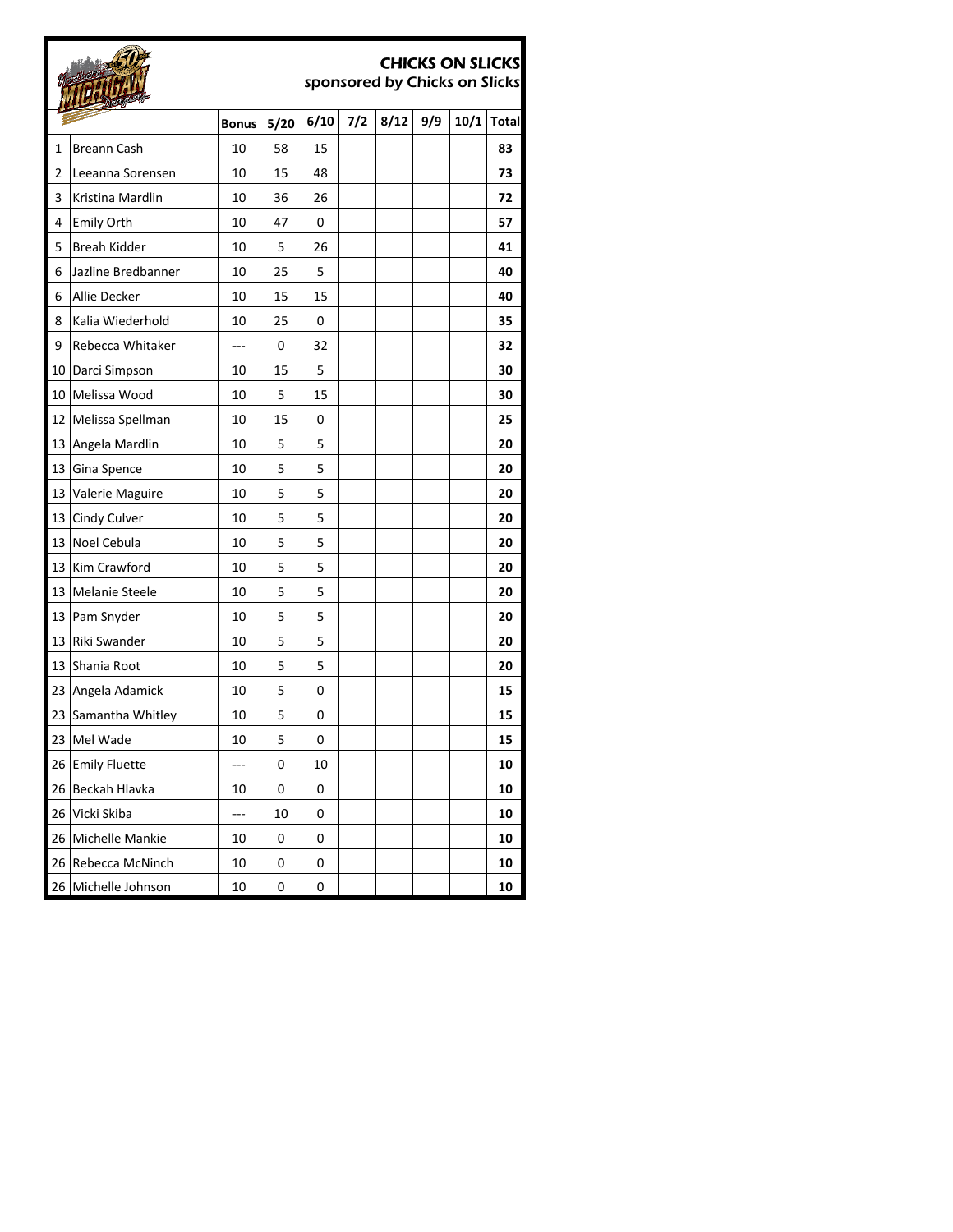|    |                       |              |      |      |     | sponsored by Chicks on Slicks |     | <b>CHICKS ON SLICKS</b> |              |
|----|-----------------------|--------------|------|------|-----|-------------------------------|-----|-------------------------|--------------|
|    |                       | <b>Bonus</b> | 5/20 | 6/10 | 7/2 | 8/12                          | 9/9 | 10/1                    | <b>Total</b> |
| 1  | <b>Breann Cash</b>    | 10           | 58   | 15   |     |                               |     |                         | 83           |
| 2  | Leeanna Sorensen      | 10           | 15   | 48   |     |                               |     |                         | 73           |
| 3  | Kristina Mardlin      | 10           | 36   | 26   |     |                               |     |                         | 72           |
| 4  | <b>Emily Orth</b>     | 10           | 47   | 0    |     |                               |     |                         | 57           |
| 5  | Breah Kidder          | 10           | 5    | 26   |     |                               |     |                         | 41           |
| 6  | Jazline Bredbanner    | 10           | 25   | 5    |     |                               |     |                         | 40           |
| 6  | Allie Decker          | 10           | 15   | 15   |     |                               |     |                         | 40           |
| 8  | Kalia Wiederhold      | 10           | 25   | 0    |     |                               |     |                         | 35           |
| 9  | Rebecca Whitaker      | ---          | 0    | 32   |     |                               |     |                         | 32           |
| 10 | Darci Simpson         | 10           | 15   | 5    |     |                               |     |                         | 30           |
| 10 | Melissa Wood          | 10           | 5    | 15   |     |                               |     |                         | 30           |
| 12 | Melissa Spellman      | 10           | 15   | 0    |     |                               |     |                         | 25           |
| 13 | Angela Mardlin        | 10           | 5    | 5    |     |                               |     |                         | 20           |
| 13 | Gina Spence           | 10           | 5    | 5    |     |                               |     |                         | 20           |
| 13 | Valerie Maguire       | 10           | 5    | 5    |     |                               |     |                         | 20           |
| 13 | Cindy Culver          | 10           | 5    | 5    |     |                               |     |                         | 20           |
| 13 | Noel Cebula           | 10           | 5    | 5    |     |                               |     |                         | 20           |
| 13 | Kim Crawford          | 10           | 5    | 5    |     |                               |     |                         | 20           |
| 13 | <b>Melanie Steele</b> | 10           | 5    | 5    |     |                               |     |                         | 20           |
| 13 | Pam Snyder            | 10           | 5    | 5    |     |                               |     |                         | 20           |
| 13 | Riki Swander          | 10           | 5    | 5    |     |                               |     |                         | 20           |
| 13 | Shania Root           | 10           | 5    | 5    |     |                               |     |                         | 20           |
| 23 | Angela Adamick        | 10           | 5    | 0    |     |                               |     |                         | 15           |
| 23 | Samantha Whitley      | 10           | 5    | 0    |     |                               |     |                         | 15           |
|    | 23 Mel Wade           | 10           | 5    | 0    |     |                               |     |                         | 15           |
|    | 26 Emily Fluette      | ---          | 0    | 10   |     |                               |     |                         | 10           |
| 26 | Beckah Hlavka         | 10           | 0    | 0    |     |                               |     |                         | 10           |
|    | 26 Vicki Skiba        | ---          | 10   | 0    |     |                               |     |                         | 10           |
|    | 26 Michelle Mankie    | 10           | 0    | 0    |     |                               |     |                         | 10           |
| 26 | Rebecca McNinch       | 10           | 0    | 0    |     |                               |     |                         | 10           |
| 26 | Michelle Johnson      | 10           | 0    | 0    |     |                               |     |                         | 10           |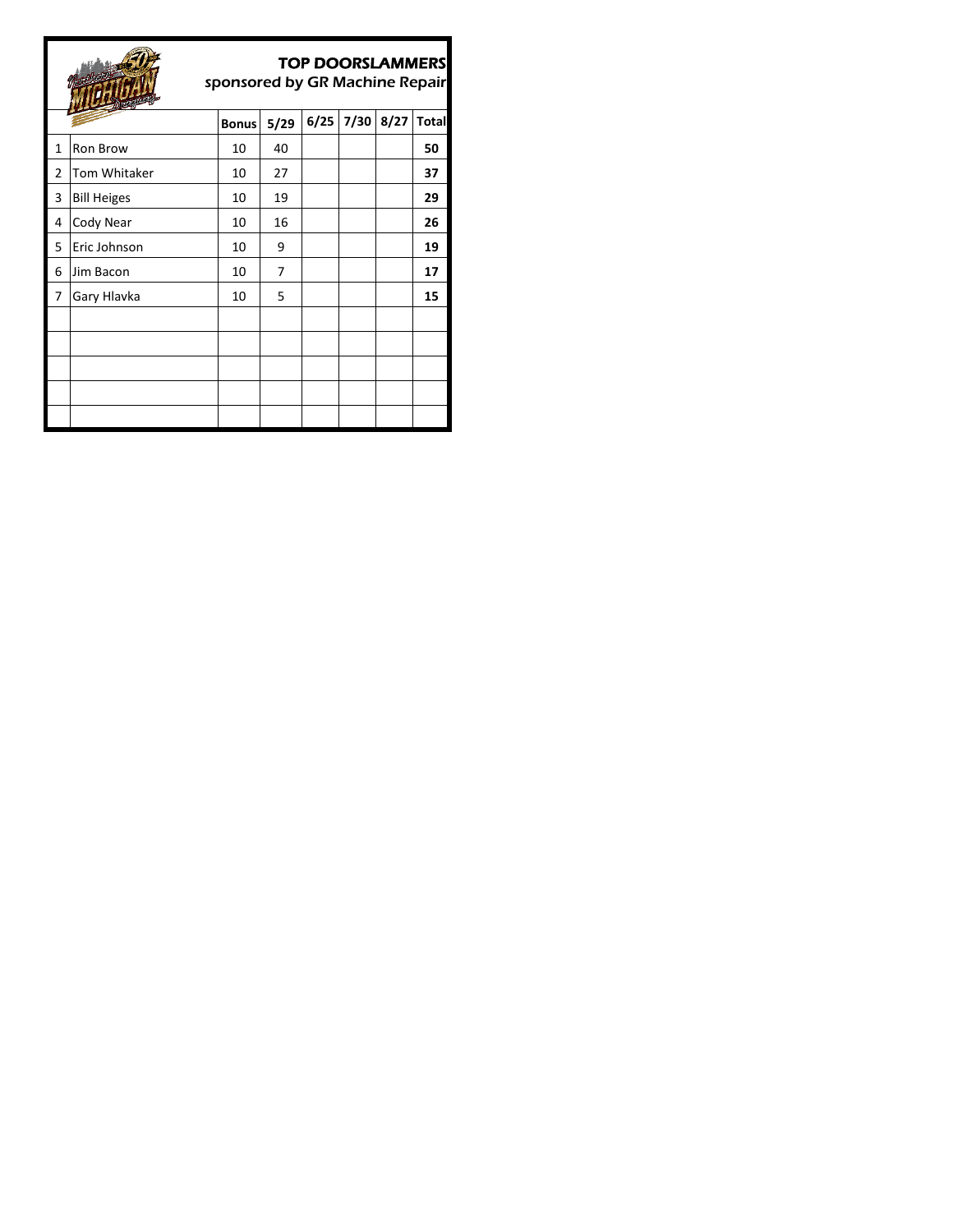# **TTIB**

# TOP DOORSLAMMERS

sponsored by GR Machine Repair

|                | <b>Company of the Company of the Company of the Company of the Company of the Company of the Company of The Company of The Company of The Company of The Company of The Company of The Company of The Company of The Company of </b> |              |      |      |      |      |              |
|----------------|--------------------------------------------------------------------------------------------------------------------------------------------------------------------------------------------------------------------------------------|--------------|------|------|------|------|--------------|
|                |                                                                                                                                                                                                                                      | <b>Bonus</b> | 5/29 | 6/25 | 7/30 | 8/27 | <b>Total</b> |
| 1              | Ron Brow                                                                                                                                                                                                                             | 10           | 40   |      |      |      | 50           |
| $\overline{2}$ | Tom Whitaker                                                                                                                                                                                                                         | 10           | 27   |      |      |      | 37           |
| 3              | <b>Bill Heiges</b>                                                                                                                                                                                                                   | 10           | 19   |      |      |      | 29           |
| 4              | Cody Near                                                                                                                                                                                                                            | 10           | 16   |      |      |      | 26           |
| 5              | Eric Johnson                                                                                                                                                                                                                         | 10           | 9    |      |      |      | 19           |
| 6              | Jim Bacon                                                                                                                                                                                                                            | 10           | 7    |      |      |      | 17           |
| 7              | Gary Hlavka                                                                                                                                                                                                                          | 10           | 5    |      |      |      | 15           |
|                |                                                                                                                                                                                                                                      |              |      |      |      |      |              |
|                |                                                                                                                                                                                                                                      |              |      |      |      |      |              |
|                |                                                                                                                                                                                                                                      |              |      |      |      |      |              |
|                |                                                                                                                                                                                                                                      |              |      |      |      |      |              |
|                |                                                                                                                                                                                                                                      |              |      |      |      |      |              |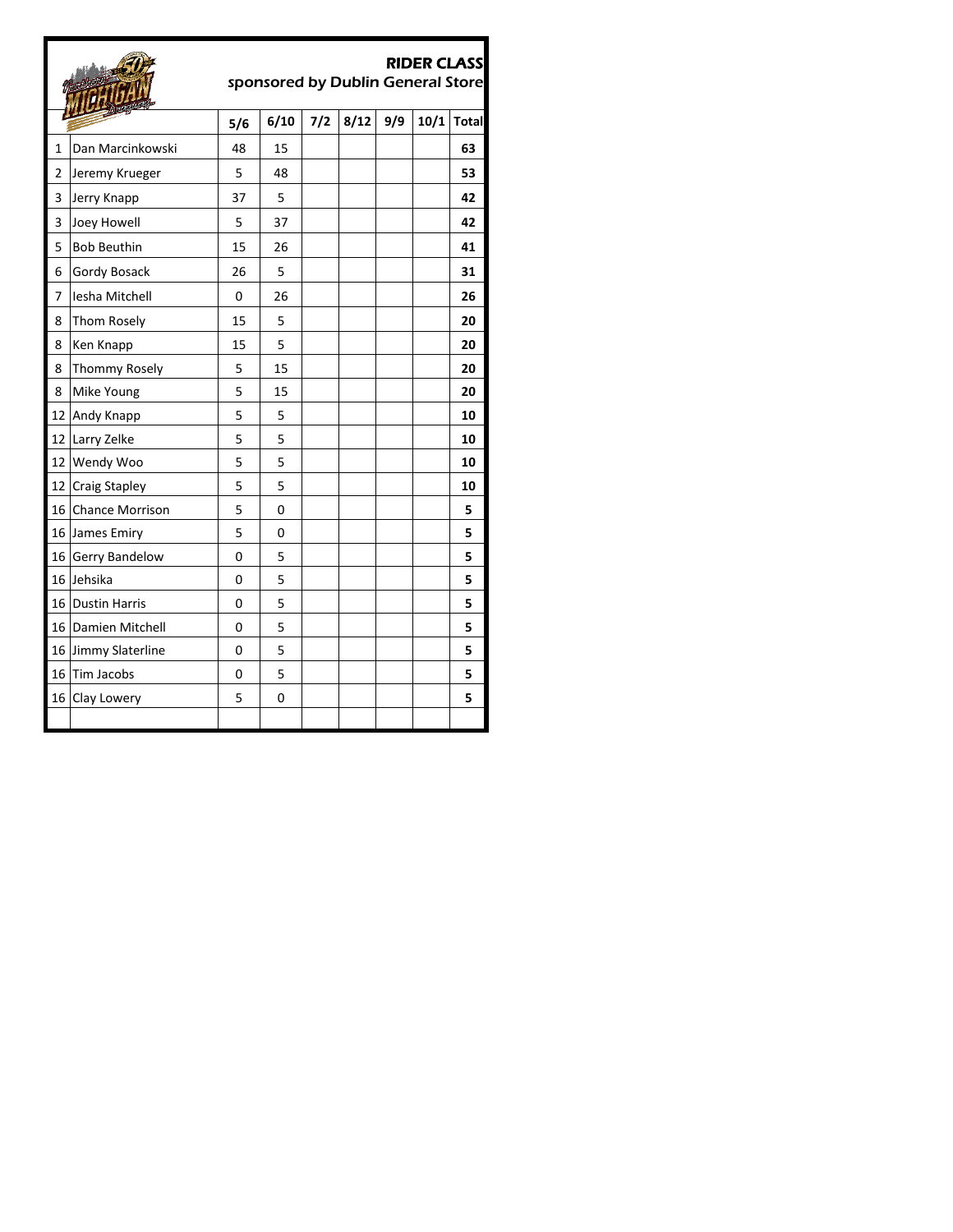## RIDER CLASS



sponsored by Dublin General Store

|                | <b>The Company of the Company</b> | 5/6 | 6/10 | $7/2$ | 8/12 | 9/9 | 10/1 | <b>Total</b> |
|----------------|-----------------------------------|-----|------|-------|------|-----|------|--------------|
| $\mathbf{1}$   | Dan Marcinkowski                  | 48  | 15   |       |      |     |      | 63           |
| $\overline{2}$ | Jeremy Krueger                    | 5   | 48   |       |      |     |      | 53           |
| 3              | Jerry Knapp                       | 37  | 5    |       |      |     |      | 42           |
| 3              | Joey Howell                       | 5   | 37   |       |      |     |      | 42           |
| 5              | <b>Bob Beuthin</b>                | 15  | 26   |       |      |     |      | 41           |
| 6              | Gordy Bosack                      | 26  | 5    |       |      |     |      | 31           |
| 7              | Iesha Mitchell                    | 0   | 26   |       |      |     |      | 26           |
| 8              | Thom Rosely                       | 15  | 5    |       |      |     |      | 20           |
| 8              | Ken Knapp                         | 15  | 5    |       |      |     |      | 20           |
| 8              | Thommy Rosely                     | 5   | 15   |       |      |     |      | 20           |
| 8              | Mike Young                        | 5   | 15   |       |      |     |      | 20           |
| 12             | Andy Knapp                        | 5   | 5    |       |      |     |      | 10           |
| 12             | Larry Zelke                       | 5   | 5    |       |      |     |      | 10           |
| 12             | Wendy Woo                         | 5   | 5    |       |      |     |      | 10           |
| 12             | Craig Stapley                     | 5   | 5    |       |      |     |      | 10           |
| 16             | <b>Chance Morrison</b>            | 5   | 0    |       |      |     |      | 5            |
| 16             | James Emiry                       | 5   | 0    |       |      |     |      | 5            |
| 16             | Gerry Bandelow                    | 0   | 5    |       |      |     |      | 5            |
| 16             | Jehsika                           | 0   | 5    |       |      |     |      | 5            |
| 16             | <b>Dustin Harris</b>              | 0   | 5    |       |      |     |      | 5            |
| 16             | Damien Mitchell                   | 0   | 5    |       |      |     |      | 5            |
| 16             | Jimmy Slaterline                  | 0   | 5    |       |      |     |      | 5            |
| 16             | Tim Jacobs                        | 0   | 5    |       |      |     |      | 5            |
| 16             | Clay Lowery                       | 5   | 0    |       |      |     |      | 5            |
|                |                                   |     |      |       |      |     |      |              |